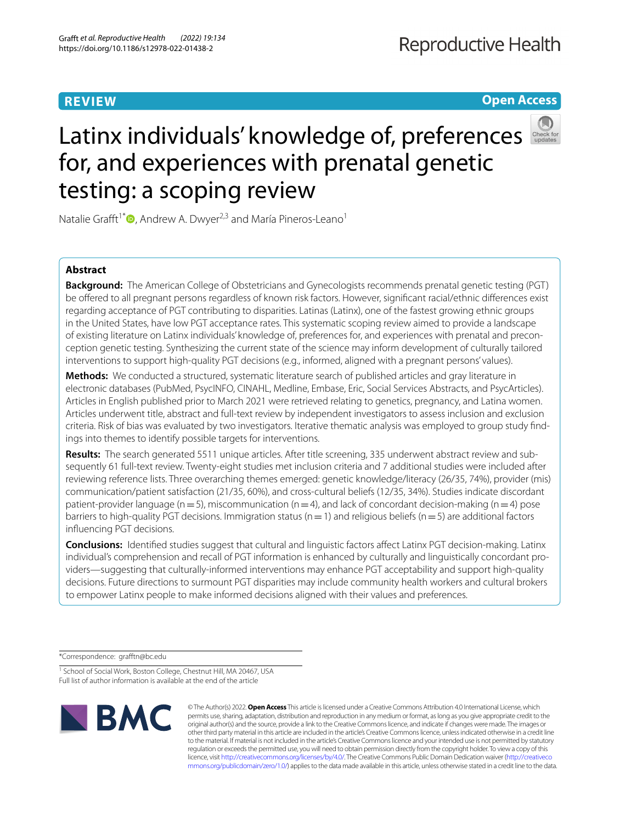### **REVIEW**

**Open Access**

# Latinx individuals' knowledge of, preferences for, and experiences with prenatal genetic testing: a scoping review

Natalie Grafft<sup>1[\\*](http://orcid.org/0000-0001-6388-8922)</sup><sup>O</sup>, Andrew A. Dwyer<sup>2,3</sup> and María Pineros-Leano<sup>1</sup>

#### **Abstract**

**Background:** The American College of Obstetricians and Gynecologists recommends prenatal genetic testing (PGT) be offered to all pregnant persons regardless of known risk factors. However, significant racial/ethnic differences exist regarding acceptance of PGT contributing to disparities. Latinas (Latinx), one of the fastest growing ethnic groups in the United States, have low PGT acceptance rates. This systematic scoping review aimed to provide a landscape of existing literature on Latinx individuals' knowledge of, preferences for, and experiences with prenatal and preconception genetic testing. Synthesizing the current state of the science may inform development of culturally tailored interventions to support high-quality PGT decisions (e.g., informed, aligned with a pregnant persons' values).

**Methods:** We conducted a structured, systematic literature search of published articles and gray literature in electronic databases (PubMed, PsycINFO, CINAHL, Medline, Embase, Eric, Social Services Abstracts, and PsycArticles). Articles in English published prior to March 2021 were retrieved relating to genetics, pregnancy, and Latina women. Articles underwent title, abstract and full-text review by independent investigators to assess inclusion and exclusion criteria. Risk of bias was evaluated by two investigators. Iterative thematic analysis was employed to group study fnd‑ ings into themes to identify possible targets for interventions.

**Results:** The search generated 5511 unique articles. After title screening, 335 underwent abstract review and sub‑ sequently 61 full-text review. Twenty-eight studies met inclusion criteria and 7 additional studies were included after reviewing reference lists. Three overarching themes emerged: genetic knowledge/literacy (26/35, 74%), provider (mis) communication/patient satisfaction (21/35, 60%), and cross-cultural beliefs (12/35, 34%). Studies indicate discordant patient-provider language ( $n=5$ ), miscommunication ( $n=4$ ), and lack of concordant decision-making ( $n=4$ ) pose barriers to high-quality PGT decisions. Immigration status ( $n=1$ ) and religious beliefs ( $n=5$ ) are additional factors infuencing PGT decisions.

**Conclusions:** Identifed studies suggest that cultural and linguistic factors afect Latinx PGT decision-making. Latinx individual's comprehension and recall of PGT information is enhanced by culturally and linguistically concordant providers—suggesting that culturally-informed interventions may enhance PGT acceptability and support high-quality decisions. Future directions to surmount PGT disparities may include community health workers and cultural brokers to empower Latinx people to make informed decisions aligned with their values and preferences.

\*Correspondence: graftn@bc.edu

<sup>&</sup>lt;sup>1</sup> School of Social Work, Boston College, Chestnut Hill, MA 20467, USA Full list of author information is available at the end of the article



© The Author(s) 2022. **Open Access** This article is licensed under a Creative Commons Attribution 4.0 International License, which permits use, sharing, adaptation, distribution and reproduction in any medium or format, as long as you give appropriate credit to the original author(s) and the source, provide a link to the Creative Commons licence, and indicate if changes were made. The images or other third party material in this article are included in the article's Creative Commons licence, unless indicated otherwise in a credit line to the material. If material is not included in the article's Creative Commons licence and your intended use is not permitted by statutory regulation or exceeds the permitted use, you will need to obtain permission directly from the copyright holder. To view a copy of this licence, visit [http://creativecommons.org/licenses/by/4.0/.](http://creativecommons.org/licenses/by/4.0/) The Creative Commons Public Domain Dedication waiver ([http://creativeco](http://creativecommons.org/publicdomain/zero/1.0/) [mmons.org/publicdomain/zero/1.0/](http://creativecommons.org/publicdomain/zero/1.0/)) applies to the data made available in this article, unless otherwise stated in a credit line to the data.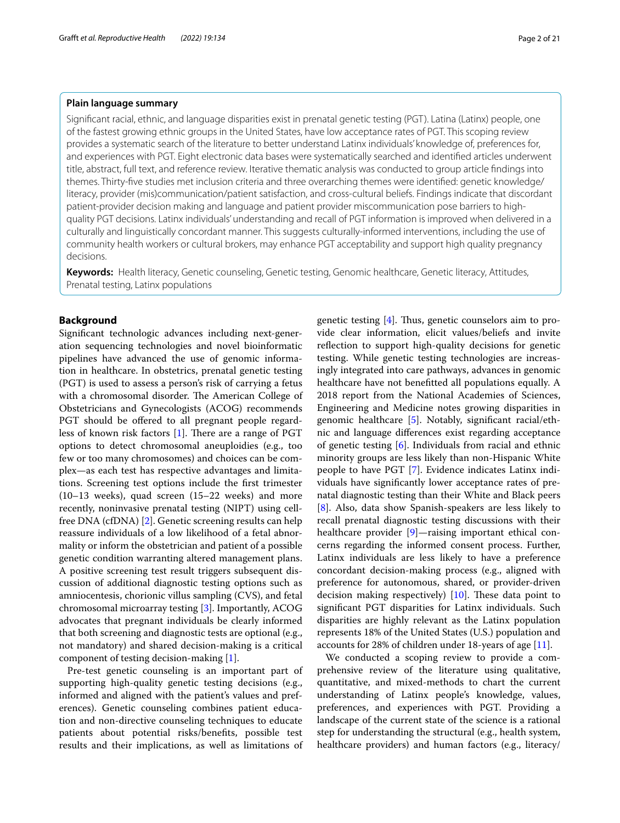#### **Plain language summary**

Signifcant racial, ethnic, and language disparities exist in prenatal genetic testing (PGT). Latina (Latinx) people, one of the fastest growing ethnic groups in the United States, have low acceptance rates of PGT. This scoping review provides a systematic search of the literature to better understand Latinx individuals' knowledge of, preferences for, and experiences with PGT. Eight electronic data bases were systematically searched and identifed articles underwent title, abstract, full text, and reference review. Iterative thematic analysis was conducted to group article fndings into themes. Thirty-fve studies met inclusion criteria and three overarching themes were identifed: genetic knowledge/ literacy, provider (mis)communication/patient satisfaction, and cross-cultural beliefs. Findings indicate that discordant patient-provider decision making and language and patient provider miscommunication pose barriers to highquality PGT decisions. Latinx individuals' understanding and recall of PGT information is improved when delivered in a culturally and linguistically concordant manner. This suggests culturally-informed interventions, including the use of community health workers or cultural brokers, may enhance PGT acceptability and support high quality pregnancy decisions.

**Keywords:** Health literacy, Genetic counseling, Genetic testing, Genomic healthcare, Genetic literacy, Attitudes, Prenatal testing, Latinx populations

#### **Background**

Signifcant technologic advances including next-generation sequencing technologies and novel bioinformatic pipelines have advanced the use of genomic information in healthcare. In obstetrics, prenatal genetic testing (PGT) is used to assess a person's risk of carrying a fetus with a chromosomal disorder. The American College of Obstetricians and Gynecologists (ACOG) recommends PGT should be offered to all pregnant people regardless of known risk factors  $[1]$  $[1]$ . There are a range of PGT options to detect chromosomal aneuploidies (e.g., too few or too many chromosomes) and choices can be complex—as each test has respective advantages and limitations. Screening test options include the frst trimester (10–13 weeks), quad screen (15–22 weeks) and more recently, noninvasive prenatal testing (NIPT) using cellfree DNA (cfDNA) [[2\]](#page-19-1). Genetic screening results can help reassure individuals of a low likelihood of a fetal abnormality or inform the obstetrician and patient of a possible genetic condition warranting altered management plans. A positive screening test result triggers subsequent discussion of additional diagnostic testing options such as amniocentesis, chorionic villus sampling (CVS), and fetal chromosomal microarray testing [[3\]](#page-19-2). Importantly, ACOG advocates that pregnant individuals be clearly informed that both screening and diagnostic tests are optional (e.g., not mandatory) and shared decision-making is a critical component of testing decision-making [[1](#page-19-0)].

Pre-test genetic counseling is an important part of supporting high-quality genetic testing decisions (e.g., informed and aligned with the patient's values and preferences). Genetic counseling combines patient education and non-directive counseling techniques to educate patients about potential risks/benefts, possible test results and their implications, as well as limitations of genetic testing  $[4]$  $[4]$ . Thus, genetic counselors aim to provide clear information, elicit values/beliefs and invite reflection to support high-quality decisions for genetic testing. While genetic testing technologies are increasingly integrated into care pathways, advances in genomic healthcare have not beneftted all populations equally. A 2018 report from the National Academies of Sciences, Engineering and Medicine notes growing disparities in genomic healthcare [[5\]](#page-19-4). Notably, signifcant racial/ethnic and language diferences exist regarding acceptance of genetic testing [[6\]](#page-19-5). Individuals from racial and ethnic minority groups are less likely than non-Hispanic White people to have PGT [[7\]](#page-19-6). Evidence indicates Latinx individuals have signifcantly lower acceptance rates of prenatal diagnostic testing than their White and Black peers [[8\]](#page-19-7). Also, data show Spanish-speakers are less likely to recall prenatal diagnostic testing discussions with their healthcare provider [[9\]](#page-19-8)—raising important ethical concerns regarding the informed consent process. Further, Latinx individuals are less likely to have a preference concordant decision-making process (e.g., aligned with preference for autonomous, shared, or provider-driven decision making respectively)  $[10]$  $[10]$ . These data point to signifcant PGT disparities for Latinx individuals. Such disparities are highly relevant as the Latinx population represents 18% of the United States (U.S.) population and accounts for 28% of children under 18-years of age [[11\]](#page-19-10).

We conducted a scoping review to provide a comprehensive review of the literature using qualitative, quantitative, and mixed-methods to chart the current understanding of Latinx people's knowledge, values, preferences, and experiences with PGT. Providing a landscape of the current state of the science is a rational step for understanding the structural (e.g., health system, healthcare providers) and human factors (e.g., literacy/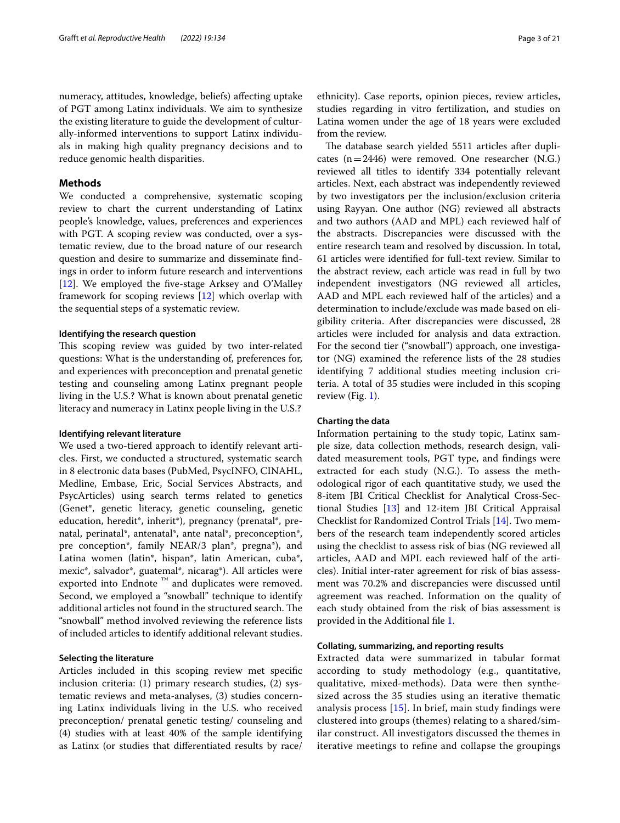numeracy, attitudes, knowledge, beliefs) afecting uptake of PGT among Latinx individuals. We aim to synthesize the existing literature to guide the development of culturally-informed interventions to support Latinx individuals in making high quality pregnancy decisions and to reduce genomic health disparities.

#### **Methods**

We conducted a comprehensive, systematic scoping review to chart the current understanding of Latinx people's knowledge, values, preferences and experiences with PGT. A scoping review was conducted, over a systematic review, due to the broad nature of our research question and desire to summarize and disseminate fndings in order to inform future research and interventions [[12\]](#page-19-11). We employed the fve-stage Arksey and O'Malley framework for scoping reviews [\[12](#page-19-11)] which overlap with the sequential steps of a systematic review.

#### **Identifying the research question**

This scoping review was guided by two inter-related questions: What is the understanding of, preferences for, and experiences with preconception and prenatal genetic testing and counseling among Latinx pregnant people living in the U.S.? What is known about prenatal genetic literacy and numeracy in Latinx people living in the U.S.?

#### **Identifying relevant literature**

We used a two-tiered approach to identify relevant articles. First, we conducted a structured, systematic search in 8 electronic data bases (PubMed, PsycINFO, CINAHL, Medline, Embase, Eric, Social Services Abstracts, and PsycArticles) using search terms related to genetics (Genet\*, genetic literacy, genetic counseling, genetic education, heredit\*, inherit\*), pregnancy (prenatal\*, prenatal, perinatal\*, antenatal\*, ante natal\*, preconception\*, pre conception\*, family NEAR/3 plan\*, pregna\*), and Latina women (latin\*, hispan\*, latin American, cuba\*, mexic\*, salvador\*, guatemal\*, nicarag\*). All articles were exported into Endnote ™ and duplicates were removed. Second, we employed a "snowball" technique to identify additional articles not found in the structured search. The "snowball" method involved reviewing the reference lists of included articles to identify additional relevant studies.

#### **Selecting the literature**

Articles included in this scoping review met specifc inclusion criteria: (1) primary research studies, (2) systematic reviews and meta-analyses, (3) studies concerning Latinx individuals living in the U.S. who received preconception/ prenatal genetic testing/ counseling and (4) studies with at least 40% of the sample identifying as Latinx (or studies that diferentiated results by race/ ethnicity). Case reports, opinion pieces, review articles, studies regarding in vitro fertilization, and studies on Latina women under the age of 18 years were excluded from the review.

The database search yielded 5511 articles after duplicates  $(n=2446)$  were removed. One researcher (N.G.) reviewed all titles to identify 334 potentially relevant articles. Next, each abstract was independently reviewed by two investigators per the inclusion/exclusion criteria using Rayyan. One author (NG) reviewed all abstracts and two authors (AAD and MPL) each reviewed half of the abstracts. Discrepancies were discussed with the entire research team and resolved by discussion. In total, 61 articles were identifed for full-text review. Similar to the abstract review, each article was read in full by two independent investigators (NG reviewed all articles, AAD and MPL each reviewed half of the articles) and a determination to include/exclude was made based on eligibility criteria. After discrepancies were discussed, 28 articles were included for analysis and data extraction. For the second tier ("snowball") approach, one investigator (NG) examined the reference lists of the 28 studies identifying 7 additional studies meeting inclusion criteria. A total of 35 studies were included in this scoping review (Fig. [1](#page-3-0)).

#### **Charting the data**

Information pertaining to the study topic, Latinx sample size, data collection methods, research design, validated measurement tools, PGT type, and fndings were extracted for each study (N.G.). To assess the methodological rigor of each quantitative study, we used the 8-item JBI Critical Checklist for Analytical Cross-Sectional Studies [\[13](#page-19-12)] and 12-item JBI Critical Appraisal Checklist for Randomized Control Trials [\[14](#page-19-13)]. Two members of the research team independently scored articles using the checklist to assess risk of bias (NG reviewed all articles, AAD and MPL each reviewed half of the articles). Initial inter-rater agreement for risk of bias assessment was 70.2% and discrepancies were discussed until agreement was reached. Information on the quality of each study obtained from the risk of bias assessment is provided in the Additional fle [1.](#page-19-14)

#### **Collating, summarizing, and reporting results**

Extracted data were summarized in tabular format according to study methodology (e.g., quantitative, qualitative, mixed-methods). Data were then synthesized across the 35 studies using an iterative thematic analysis process [[15](#page-19-15)]. In brief, main study fndings were clustered into groups (themes) relating to a shared/similar construct. All investigators discussed the themes in iterative meetings to refne and collapse the groupings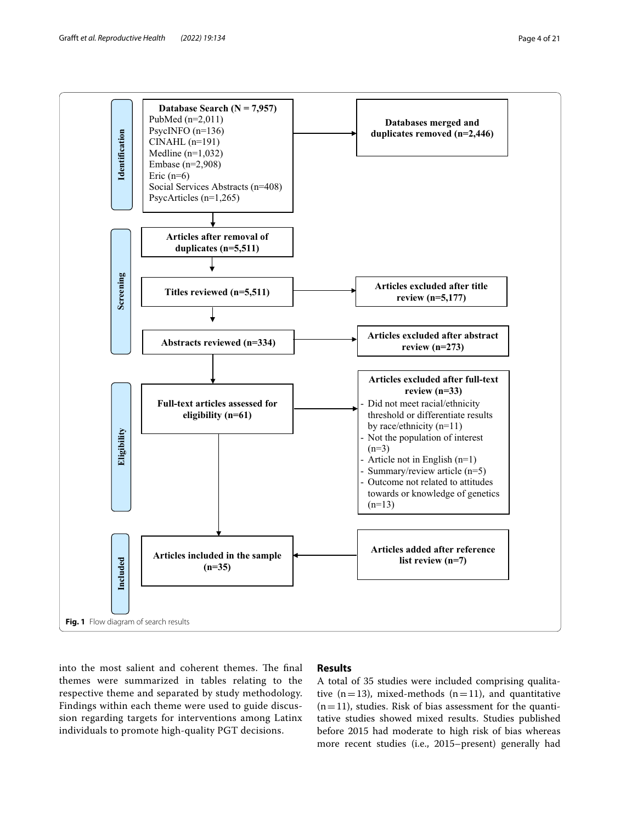

<span id="page-3-0"></span>into the most salient and coherent themes. The final themes were summarized in tables relating to the respective theme and separated by study methodology. Findings within each theme were used to guide discussion regarding targets for interventions among Latinx individuals to promote high-quality PGT decisions.

#### **Results**

A total of 35 studies were included comprising qualitative  $(n=13)$ , mixed-methods  $(n=11)$ , and quantitative  $(n=11)$ , studies. Risk of bias assessment for the quantitative studies showed mixed results. Studies published before 2015 had moderate to high risk of bias whereas more recent studies (i.e., 2015–present) generally had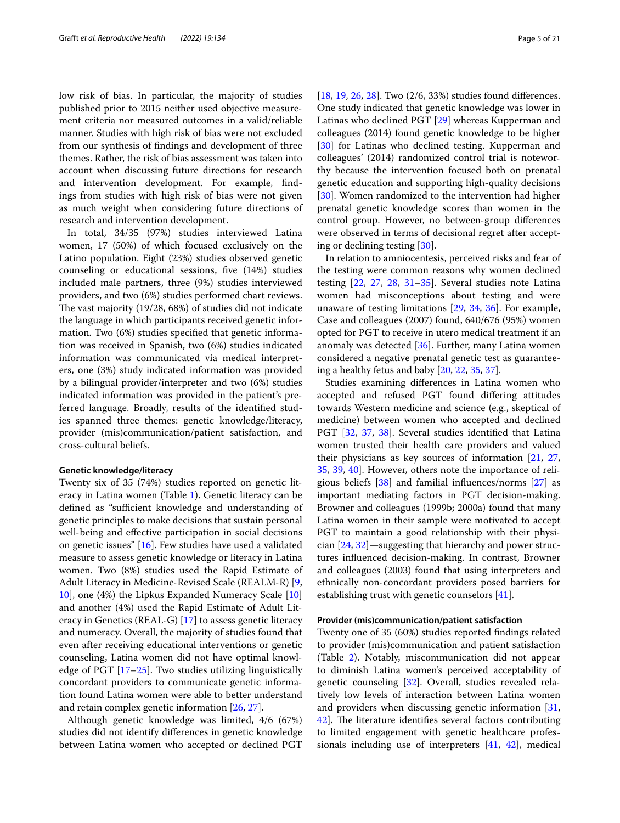low risk of bias. In particular, the majority of studies published prior to 2015 neither used objective measurement criteria nor measured outcomes in a valid/reliable manner. Studies with high risk of bias were not excluded from our synthesis of fndings and development of three themes. Rather, the risk of bias assessment was taken into account when discussing future directions for research and intervention development. For example, fndings from studies with high risk of bias were not given as much weight when considering future directions of research and intervention development.

In total, 34/35 (97%) studies interviewed Latina women, 17 (50%) of which focused exclusively on the Latino population. Eight (23%) studies observed genetic counseling or educational sessions, fve (14%) studies included male partners, three (9%) studies interviewed providers, and two (6%) studies performed chart reviews. The vast majority  $(19/28, 68%)$  of studies did not indicate the language in which participants received genetic information. Two (6%) studies specifed that genetic information was received in Spanish, two (6%) studies indicated information was communicated via medical interpreters, one (3%) study indicated information was provided by a bilingual provider/interpreter and two (6%) studies indicated information was provided in the patient's preferred language. Broadly, results of the identifed studies spanned three themes: genetic knowledge/literacy, provider (mis)communication/patient satisfaction, and cross-cultural beliefs.

#### <span id="page-4-0"></span>**Genetic knowledge/literacy**

Twenty six of 35 (74%) studies reported on genetic literacy in Latina women (Table [1](#page-5-0)). Genetic literacy can be defined as "sufficient knowledge and understanding of genetic principles to make decisions that sustain personal well-being and efective participation in social decisions on genetic issues" [\[16](#page-19-16)]. Few studies have used a validated measure to assess genetic knowledge or literacy in Latina women. Two (8%) studies used the Rapid Estimate of Adult Literacy in Medicine-Revised Scale (REALM-R) [\[9](#page-19-8), [10\]](#page-19-9), one (4%) the Lipkus Expanded Numeracy Scale [[10](#page-19-9)] and another (4%) used the Rapid Estimate of Adult Literacy in Genetics (REAL-G) [\[17](#page-19-17)] to assess genetic literacy and numeracy. Overall, the majority of studies found that even after receiving educational interventions or genetic counseling, Latina women did not have optimal knowledge of PGT [[17](#page-19-17)[–25](#page-19-18)]. Two studies utilizing linguistically concordant providers to communicate genetic information found Latina women were able to better understand and retain complex genetic information [[26,](#page-20-0) [27\]](#page-20-1).

Although genetic knowledge was limited, 4/6 (67%) studies did not identify diferences in genetic knowledge between Latina women who accepted or declined PGT [[18,](#page-19-19) [19](#page-19-20), [26](#page-20-0), [28\]](#page-20-2). Two (2/6, 33%) studies found diferences. One study indicated that genetic knowledge was lower in Latinas who declined PGT [\[29\]](#page-20-3) whereas Kupperman and colleagues (2014) found genetic knowledge to be higher [[30\]](#page-20-4) for Latinas who declined testing. Kupperman and colleagues' (2014) randomized control trial is noteworthy because the intervention focused both on prenatal genetic education and supporting high-quality decisions [[30\]](#page-20-4). Women randomized to the intervention had higher prenatal genetic knowledge scores than women in the control group. However, no between-group diferences were observed in terms of decisional regret after accepting or declining testing [\[30\]](#page-20-4).

In relation to amniocentesis, perceived risks and fear of the testing were common reasons why women declined testing [[22,](#page-19-21) [27,](#page-20-1) [28](#page-20-2), [31](#page-20-5)[–35](#page-20-6)]. Several studies note Latina women had misconceptions about testing and were unaware of testing limitations [[29,](#page-20-3) [34,](#page-20-7) [36](#page-20-8)]. For example, Case and colleagues (2007) found, 640/676 (95%) women opted for PGT to receive in utero medical treatment if an anomaly was detected [\[36](#page-20-8)]. Further, many Latina women considered a negative prenatal genetic test as guaranteeing a healthy fetus and baby [\[20,](#page-19-22) [22](#page-19-21), [35,](#page-20-6) [37](#page-20-9)].

Studies examining diferences in Latina women who accepted and refused PGT found difering attitudes towards Western medicine and science (e.g., skeptical of medicine) between women who accepted and declined PGT [[32](#page-20-10), [37,](#page-20-9) [38\]](#page-20-11). Several studies identifed that Latina women trusted their health care providers and valued their physicians as key sources of information [\[21,](#page-19-23) [27](#page-20-1), [35,](#page-20-6) [39,](#page-20-12) [40\]](#page-20-13). However, others note the importance of religious beliefs [[38\]](#page-20-11) and familial infuences/norms [\[27\]](#page-20-1) as important mediating factors in PGT decision-making. Browner and colleagues (1999b; 2000a) found that many Latina women in their sample were motivated to accept PGT to maintain a good relationship with their physician [\[24](#page-19-24), [32\]](#page-20-10)—suggesting that hierarchy and power structures infuenced decision-making. In contrast, Browner and colleagues (2003) found that using interpreters and ethnically non-concordant providers posed barriers for establishing trust with genetic counselors [[41\]](#page-20-14).

#### **Provider (mis)communication/patient satisfaction**

Twenty one of 35 (60%) studies reported fndings related to provider (mis)communication and patient satisfaction (Table [2](#page-10-0)). Notably, miscommunication did not appear to diminish Latina women's perceived acceptability of genetic counseling [[32](#page-20-10)]. Overall, studies revealed relatively low levels of interaction between Latina women and providers when discussing genetic information [[31](#page-20-5), [42\]](#page-20-15). The literature identifies several factors contributing to limited engagement with genetic healthcare professionals including use of interpreters [\[41,](#page-20-14) [42\]](#page-20-15), medical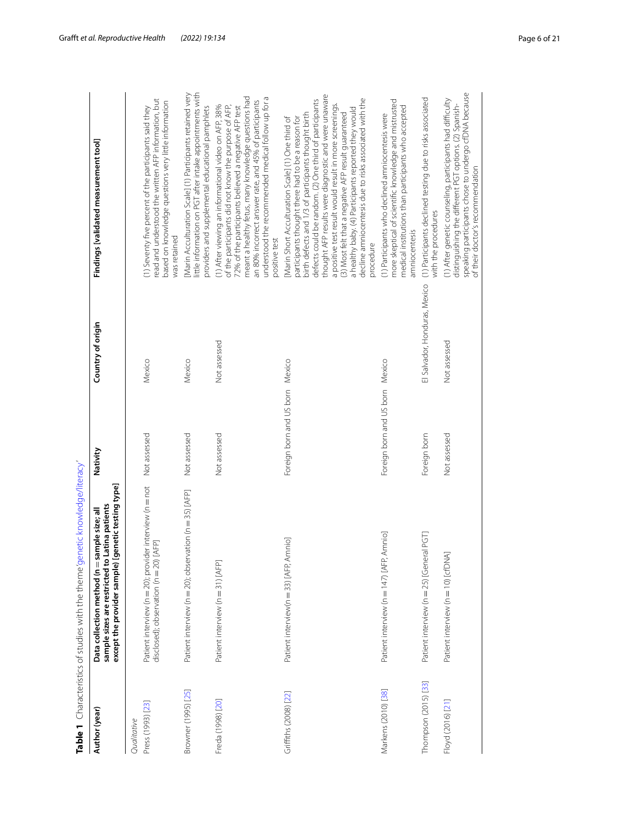<span id="page-5-0"></span>

|                                  | Table 1 Characteristics of studies with the theme genetic knowledge/literacy'                                                                            |                                 |                               |                                                                                                                                                                                                                                                                                                                                                                                                                                                                                                                                   |
|----------------------------------|----------------------------------------------------------------------------------------------------------------------------------------------------------|---------------------------------|-------------------------------|-----------------------------------------------------------------------------------------------------------------------------------------------------------------------------------------------------------------------------------------------------------------------------------------------------------------------------------------------------------------------------------------------------------------------------------------------------------------------------------------------------------------------------------|
| Author (year)                    | enetic testing type]<br>sample sizes are restricted to Latina patients<br>Data collection method (n = sample size; all<br>except the provider sample) [g | Nativity                        | Country of origin             | Findings [validated measurement tool]                                                                                                                                                                                                                                                                                                                                                                                                                                                                                             |
| Press (1993) [23]<br>Qualitative | Patient interview (n = 20); provider interview (n = not                                                                                                  | Not assessed                    | Mexico                        | (1) Seventy five percent of the participants said they                                                                                                                                                                                                                                                                                                                                                                                                                                                                            |
|                                  | disclosed); observation (n = 20) [AFP]                                                                                                                   |                                 |                               | read and understood the written AFP information, but<br>based on knowledge questions very little information<br>was retained                                                                                                                                                                                                                                                                                                                                                                                                      |
| Browner (1995) [25]              | Patient interview (n = 20); observation (n = 35) [AFP]                                                                                                   | Not assessed                    | Mexico                        | little information on PGT after intake appointments with<br>[Marin Acculturation Scale] (1) Participants retained very<br>providers and supplemental educational pamphlets                                                                                                                                                                                                                                                                                                                                                        |
| Freda (1998) [20]                | Patient interview (n = 31) [AFP]                                                                                                                         | Not assessed                    | Not assessed                  | meant a healthy fetus, many knowledge questions had<br>understood the recommended medical follow up for a<br>an 80% incorrect answer rate, and 45% of participants<br>(1) After viewing an informational video on AFP, 38%<br>of the participants did not know the purpose of AFP,<br>72% of the participants believed a negative AFP test<br>positive test                                                                                                                                                                       |
| Griffiths (2008) [22]            | Patient interview(n = 33) [AFP, Amnio]                                                                                                                   | Foreign born and US born Mexico |                               | thought AFP results were diagnostic and were unaware<br>decline amniocentesis due to risks associated with the<br>defects could be random. (2) One third of participants<br>a positive test result would result in more screenings.<br>a healthy baby. (4) Participants reported they would<br>birth defects and 1/3 of participants thought birth<br>(3) Most felt that a negative AFP result quaranteed<br>participants thought there had to be a reason for<br>[Marin Short Acculturation Scale] (1) One third of<br>procedure |
| Markens (2010) [38]              | Patient interview (n = 147) [AFP, Amnio]                                                                                                                 | Foreign born and US born Mexico |                               | more skeptical of scientific knowledge and mistrusted<br>medical institutions than participants who accepted<br>(1) Participants who declined amniocentesis were<br>amniocentesis                                                                                                                                                                                                                                                                                                                                                 |
| Thompson (2015) [33]             | Patient interview (n = 25) [General PGT]                                                                                                                 | Foreign born                    | El Salvador, Honduras, Mexico | (1) Participants declined testing due to risks associated<br>with the procedures                                                                                                                                                                                                                                                                                                                                                                                                                                                  |
| Floyd (2016) [21]                | Patient interview (n = 10) [cfDNA]                                                                                                                       | Not assessed                    | Not assessed                  | speaking participants chose to undergo cfDNA because<br>(1) After genetic counseling, participants had difficulty<br>distinguishing the different PGT options. (2) Spanish-<br>of their doctor's recommendation                                                                                                                                                                                                                                                                                                                   |
|                                  |                                                                                                                                                          |                                 |                               |                                                                                                                                                                                                                                                                                                                                                                                                                                                                                                                                   |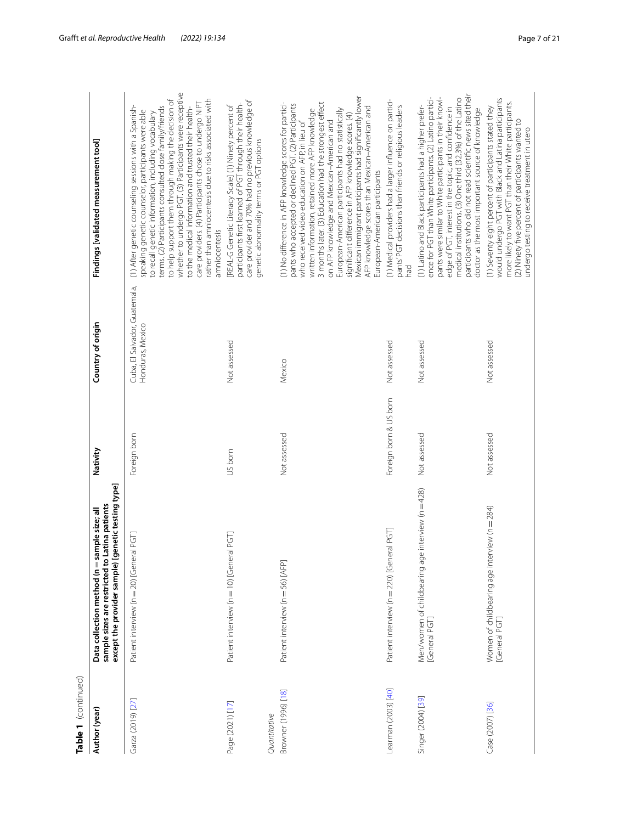| Table 1 (continued)                 |                                                                                                                                                      |              |                                                   |                                                                                                                                                                                                                                                                                                                                                                                                                                                                      |
|-------------------------------------|------------------------------------------------------------------------------------------------------------------------------------------------------|--------------|---------------------------------------------------|----------------------------------------------------------------------------------------------------------------------------------------------------------------------------------------------------------------------------------------------------------------------------------------------------------------------------------------------------------------------------------------------------------------------------------------------------------------------|
| Author (year)                       | except the provider sample) [genetic testing type]<br>sample sizes are restricted to Latina patients<br>Data collection method (n = sample size; all | Nativity     | Country of origin                                 | Findings [validated measurement tool]                                                                                                                                                                                                                                                                                                                                                                                                                                |
| Garza (2019) [27]                   | Patient interview (n = 20) [General PGT]                                                                                                             | Foreign born | Cuba, El Salvador, Guatemala,<br>Honduras, Mexico | (1) After genetic counseling sessions with a<br>speaking genetic counselor, participants we<br>to recall genetic information, including voc<br>terms. (2) Participants consulted close famil<br>to help support them through making the<br>whether to undergo PGT. (3) Participants w<br>to the medical information and trusted their<br>care providers. (4) Participants chose to unc<br>rather than amniocentesis due to risks asso<br>amniocentesis               |
| Page (2021) [17]                    | Patient interview (n = 10) [General PGT]                                                                                                             | US born      | Not assessed                                      | [REAL-G Genetic Literacy Scale] (1) Ninety p<br>participants first learned of PGT through the<br>care provider and 70% had no previous kno<br>genetic abnormality terms or PGT options                                                                                                                                                                                                                                                                               |
| Browner (1996) [18]<br>Quantitative | Patient interview (n = 56) [AFP]                                                                                                                     | Not assessed | Mexico                                            | (1) No difference in AFP knowledge scores t<br>pants who accepted or declined PGT. (2) Pa<br>who received video education on AFP, in lie<br>written information, retained more AFP knc<br>3 months later. (3) Education had the strong<br>on AFP knowledge and Mexican-American<br>European-American participants had no sta<br>significant difference in AFP knowledge sco<br>Mexican immigrant participants had signific<br>AFP knowledge scores than Mexican-Amer |

Table 1 (continued)

|                                  | except the provider sample) [genetic testing type]                |                        |                                                   |                                                                                                                                                                                                                                                                                                                                                                                                                                                                                                                                                                                          |
|----------------------------------|-------------------------------------------------------------------|------------------------|---------------------------------------------------|------------------------------------------------------------------------------------------------------------------------------------------------------------------------------------------------------------------------------------------------------------------------------------------------------------------------------------------------------------------------------------------------------------------------------------------------------------------------------------------------------------------------------------------------------------------------------------------|
| Garza (2019) [27]                | Patient interview (n = 20) [General PGT]                          | Foreign born           | Cuba, El Salvador, Guatemala,<br>Honduras, Mexico | whether to undergo PGT. (3) Participants were receptive<br>to help support them through making the decision of<br>rather than amniocentesis due to risks associated with<br>care providers. (4) Participants chose to undergo NIPT<br>(1) After genetic counseling sessions with a Spanish-<br>terms. (2) Participants consulted close family/friends<br>to the medical information and trusted their health-<br>speaking genetic counselor, participants were able<br>to recall genetic information, including vocabulary<br>amniocentesis                                              |
| Page (2021) [17]<br>Quantitative | Patient interview (n = 10) [General PGT]                          | US born                | Not assessed                                      | care provider and 70% had no previous knowledge of<br>participants first learned of PGT through their health-<br>[REAL-G Genetic Literacy Scale] (1) Ninety percent of<br>genetic abnormality terms or PGT options                                                                                                                                                                                                                                                                                                                                                                       |
| Browner (1996) [18]              | Patient interview (n = 56) [AFP]                                  | Not assessed           | Mexico                                            | Mexican immigrant participants had significantly lower<br>(1) No difference in AFP knowledge scores for partici-<br>3 months later. (3) Education had the strongest effect<br>pants who accepted or declined PGT. (2) Participants<br>AFP knowledge scores than Mexican-American and<br>European-American participants had no statistically<br>written information, retained more AFP knowledge<br>significant difference in AFP knowledge scores. (4)<br>on AFP knowledge and Mexican-American and<br>who received video education on AFP, in lieu of<br>European-American participants |
| Learman (2003) [40]              | Patient interview (n = 220) [General PGT]                         | Foreign born & US born | Not assessed                                      | (1) Medical providers had a larger influence on partici-<br>pants'PGT decisions than friends or religious leaders                                                                                                                                                                                                                                                                                                                                                                                                                                                                        |
| Singer (2004) [39]               | Men/women of childbearing age interview (n = 428)<br>[General PGT | Not assessed           | Not assessed                                      | participants who did not read scientific news sited their<br>ence for PGT than White participants. (2) Latino partici-<br>pants were similar to White participants in their knowl-<br>medical institutions. (3) One third (32.3%) of the Latino<br>(1) Latino and Black participants had a higher prefer-<br>edge of PGT, interest in the topic, and confidence in<br>doctor as the most important source of knowledge                                                                                                                                                                   |
| Case (2007) [36]                 | Women of childbearing age interview (n = 284)<br>[General PGT]    | Not assessed           | Not assessed                                      | would undergo PGT with Black and Latina participants<br>more likely to want PGT than their White participants.<br>(1) Seventy eight percent of participants stated they<br>(2) Ninety five percent of participants wanted to<br>undergo testing to receive treatment in utero                                                                                                                                                                                                                                                                                                            |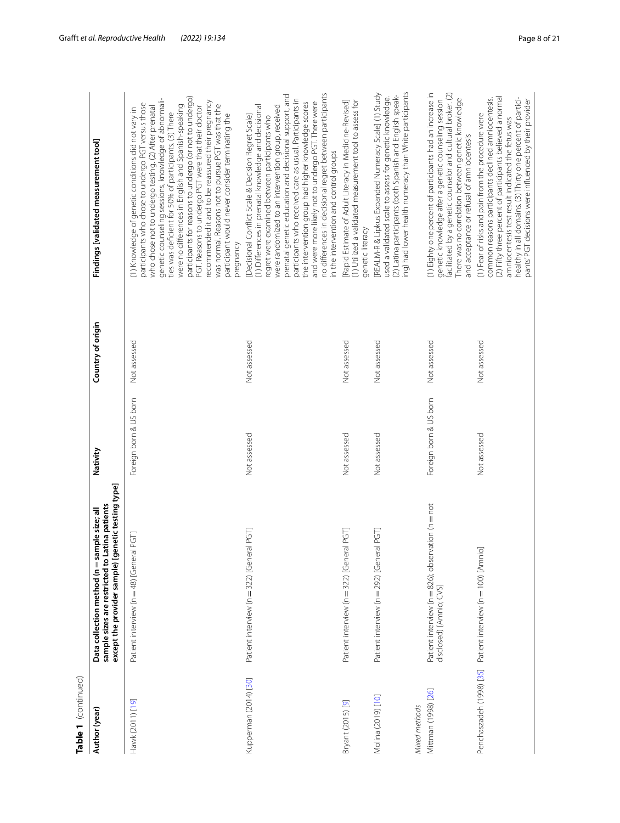|   | ۰ |
|---|---|
|   | í |
|   |   |
|   |   |
|   |   |
|   |   |
|   |   |
|   |   |
|   |   |
|   |   |
|   |   |
|   |   |
|   |   |
| ٠ | ī |
|   |   |
| t |   |
|   |   |
|   |   |
|   |   |
|   |   |
|   |   |

| Table 1 (continued)                  |                                                                                                                                                           |                        |                   |                                                                                                                                                                                                                                                                                                                                                                                                                                                                                                                                                                                                                                         |
|--------------------------------------|-----------------------------------------------------------------------------------------------------------------------------------------------------------|------------------------|-------------------|-----------------------------------------------------------------------------------------------------------------------------------------------------------------------------------------------------------------------------------------------------------------------------------------------------------------------------------------------------------------------------------------------------------------------------------------------------------------------------------------------------------------------------------------------------------------------------------------------------------------------------------------|
| Author (year)                        | except the provider sample) [genetic testing type]<br>sample sizes are restricted to Latina patients<br>mple size; all<br>Data collection method (n = sar | Nativity               | Country of origin | Findings [validated measurement tool]                                                                                                                                                                                                                                                                                                                                                                                                                                                                                                                                                                                                   |
| Hawk (2011) [19]                     | PGT<br>Patient interview (n = 48) [General                                                                                                                | Foreign born & US born | Not assessed      | participants for reasons to undergo (or not to undergo)<br>genetic counseling sessions, knowledge of abnormali-<br>recommended it and to be reassured their pregnancy<br>participants who chose to undergo PGT versus those<br>were no differences in English and Spanish-speaking<br>was normal. Reasons not to pursue PGT was that the<br>PGT. Reasons to undergo PGT were that their doctor<br>who chose not to undergo testing. (2) After prenatal<br>(1) Knowledge of genetic conditions did not vary in<br>ties was deficient for 50% of participants. (3) There<br>participant would never consider terminating the<br>pregnancy |
| Kupperman (2014) [30]                | Patient interview (n = 322) [General PGT]                                                                                                                 | Not assessed           | Not assessed      | no differences in decisional regret between participants<br>prenatal genetic education and decisional support, and<br>participants who received care as usual. Participants in<br>the intervention group had higher knowledge scores<br>and were more likely not to undergo PGT. There were<br>(1) Differences in prenatal knowledge and decisional<br>were randomized to an intervention group, received<br>Decisional Conflict Scale & Decision Regret Scale]<br>regret were examined between participants who<br>in the intervention and control groups                                                                              |
| Bryant (2015) [9]                    | Patient interview (n = 322) [General PGT                                                                                                                  | Not assessed           | Not assessed      | [Rapid Estimate of Adult Literacy in Medicine-Revised]<br>(1) Utilized a validated measurement tool to assess for<br>genetic literacy                                                                                                                                                                                                                                                                                                                                                                                                                                                                                                   |
| Molina (2019) [10]                   | Patient interview (n = 292) [General PGT]                                                                                                                 | Not assessed           | Not assessed      | ing) had lower health numeracy than White participants<br>REALM-R & Lipkus Expanded Numeracy Scale] (1) Study<br>(2) Latina participants (both Spanish and English speak-<br>used a validated scale to assess for genetic knowledge.                                                                                                                                                                                                                                                                                                                                                                                                    |
| Mittman (1998) [26]<br>Mixed methods | ation (n = not<br>Patient interview (n = 826); observ<br>disclosed) [Amnio; CVS]                                                                          | Foreign born & US born | Not assessed      | (1) Eighty one percent of participants had an increase in<br>facilitated by a genetic counselor and cultural broker. (2)<br>There was no correlation between genetic knowledge<br>genetic knowledge after a genetic counseling session<br>and acceptance or refusal of amniocentesis                                                                                                                                                                                                                                                                                                                                                    |
| Penchaszadeh (1998) [35]             | Patient interview (n = 100) [Amnio]                                                                                                                       | Not assessed           | Not assessed      | (2) Fifty three percent of participants believed a normal<br>common reasons participants declined amniocentesis.<br>healthy in all domains. (3) Thirty one percent of partici-<br>pants' PGT decisions were influenced by their provider<br>(1) Fear of risks and pain from the procedure were<br>amniocentesis test result indicated the fetus was                                                                                                                                                                                                                                                                                     |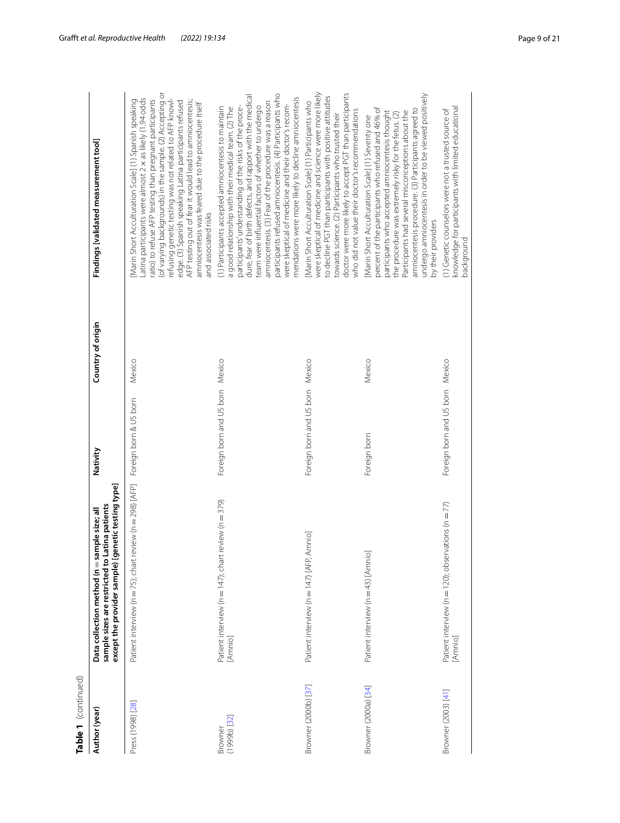| ŧ |
|---|
|   |
| t |
|   |
|   |
|   |
|   |
|   |

| Table 1 (continued)         |                                                                                                                                                      |                                 |                   |                                                                                                                                                                                                                                                                                                                                                                                                                                                                                                                                |
|-----------------------------|------------------------------------------------------------------------------------------------------------------------------------------------------|---------------------------------|-------------------|--------------------------------------------------------------------------------------------------------------------------------------------------------------------------------------------------------------------------------------------------------------------------------------------------------------------------------------------------------------------------------------------------------------------------------------------------------------------------------------------------------------------------------|
| Author (year)               | except the provider sample) [genetic testing type]<br>sample sizes are restricted to Latina patients<br>Data collection method (n = sample size; all | Nativity                        | Country of origin | Findings [validated measurement tool]                                                                                                                                                                                                                                                                                                                                                                                                                                                                                          |
| Press (1998) [28]           | Patient interview (n = 75); chart review (n = 298) [AFP]                                                                                             | Foreign born & US born          | Mexico            | of varying backgrounds) in the sample. (2) Accepting or<br>atina participants were almost 2 x as likely (1.94 odds<br>refusing genetic testing was not related to AFP knowl-<br>atio) to refuse AFP testing than pregnant participants<br>Marin Short Acculturation Scale] (1) Spanish speaking<br>AFP testing out of fear it would lead to amniocentesis;<br>edge. (3) Spanish speaking Latina participants refused<br>amniocentesis was feared due to the procedure itself<br>and associated risks                           |
| $(1999b)$ $[32]$<br>Browner | Patient interview (n = 147); chart review (n = 379)<br>[Amnio]                                                                                       | Foreign born and US born Mexico |                   | participants refused amniocentesis. (4) Participants who<br>dure, fear of birth defects, and rapport with the medical<br>mendations were more likely to decline amniocentesis<br>amniocentesis. (3) Fear of the procedure was a reason<br>were skeptical of medicine and their doctor's recom-<br>team were influential factors of whether to undergo<br>participants' understanding of the risks of the proce-<br>(1) Participants accepted amniocentesis to maintain<br>a good relationship with their medical team. (2) The |
| Browner (2000b) [37]        | Patient interview (n = 147) [AFP, Amnio]                                                                                                             | Foreign born and US born Mexico |                   | were skeptical of medicine and science were more likely<br>doctor were more likely to accept PGT than participants<br>to decline PGT than participants with positive attitudes<br>Marin Short Acculturation Scale] (1) Participants who<br>who did not value their doctor's recommendations<br>towards science. (2) Participants who trusted their                                                                                                                                                                             |
| Browner (2000a) [34]        | Patient interview (n = 43) [Amnio]                                                                                                                   | Foreign born                    | Mexico            | undergo amniocentesis in order to be viewed positively<br>percent of the participants who refused and 46% of<br>amniocentesis procedure. (3) Participants agreed to<br>participants who accepted amniocentesis thought<br>Participants had several misconceptions about the<br>the procedure was extremely risky for the fetus. (2)<br>Marin Short Acculturation Scale] (1) Seventy one<br>by their providers                                                                                                                  |
| Browner (2003) [41]         | Patient interview (n = 120); observations (n = 77)<br>[Amnio]                                                                                        | Foreign born and US born Mexico |                   | knowledge for participants with limited educational<br>(1) Genetic counselors were not a trusted source of<br>background                                                                                                                                                                                                                                                                                                                                                                                                       |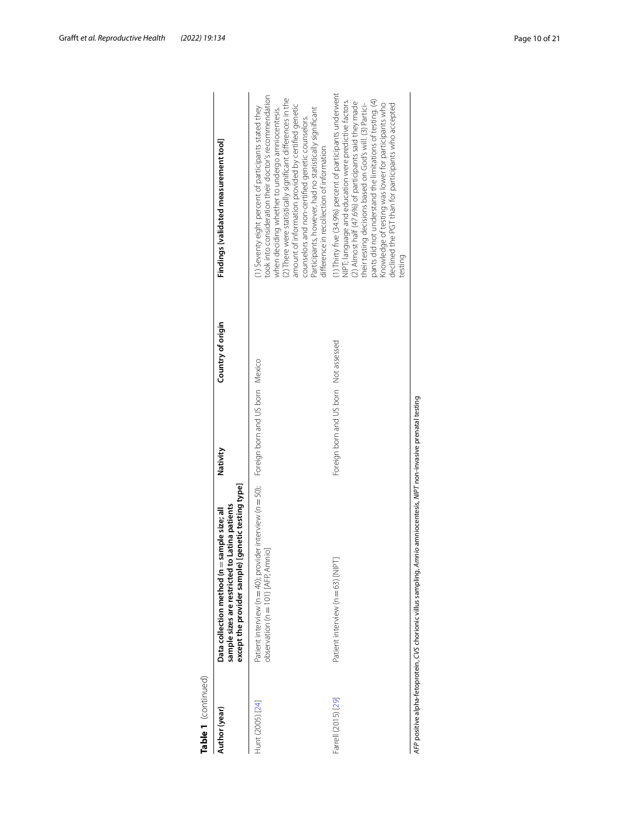| Table 1 (continued) |                                                                                                                                                               |                                       |                   |                                                                                                                                                                                                                                                                                                                                                                                                                                                    |
|---------------------|---------------------------------------------------------------------------------------------------------------------------------------------------------------|---------------------------------------|-------------------|----------------------------------------------------------------------------------------------------------------------------------------------------------------------------------------------------------------------------------------------------------------------------------------------------------------------------------------------------------------------------------------------------------------------------------------------------|
| Author (year)       | [genetic testing type]<br>sample sizes are restricted to Latina patients<br>sample size; all<br>Data collection method ( $n =$<br>except the provider sample) | Nativity                              | Country of origin | Findings [validated measurement tool]                                                                                                                                                                                                                                                                                                                                                                                                              |
| Hunt (2005) [24]    | Patient interview (n = 40); provider interview (n = 50); Foreign born and US born Mexico<br>observation (n = 101) [AFP, Amnio]                                |                                       |                   | cook into consideration their doctor's recommendation<br>(2) There were statistically significant differences in the<br>amount of information provided by certified genetic<br>1) Seventy eight percent of participants stated they<br>when deciding whether to undergo amniocentesis.<br>Participants, however, had no statistically significant<br>counselors and non-certified genetic counselors.<br>difference in recollection of information |
| Farrell (2015) [29] | Patient interview (n = 63) [NIPT]                                                                                                                             | Foreign born and US born Not assessed |                   | 1) Thirty five (34.9%) percent of participants underwent<br>pants did not understand the limitations of testing. (4)<br>NIPT; language and education were predictive factors.<br>(2) Almost half (47.6%) of participants said they made<br>declined the PGT than for participants who accepted<br>Knowledge of testing was lower for participants who<br>their testing decisions based on God's will. (3) Partici-<br>testing                      |
|                     | AFP positive alpha-fetoprotein, CVS chorionic villus sampling, Amnio amniocentesis, NIPT non-invasive prenatal testing                                        |                                       |                   |                                                                                                                                                                                                                                                                                                                                                                                                                                                    |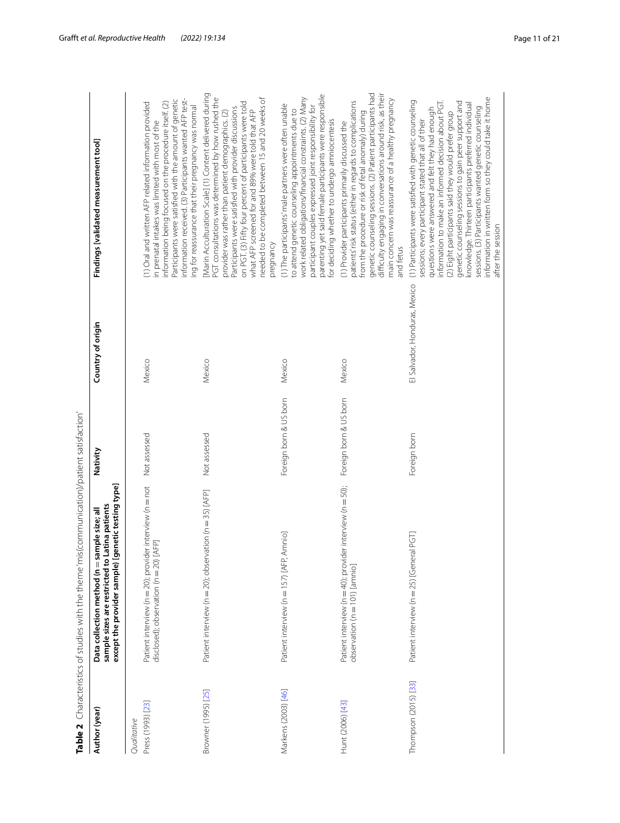<span id="page-10-0"></span>

| $\frac{1}{2}$                  |
|--------------------------------|
|                                |
|                                |
| $\frac{1}{2}$                  |
| きょうちょう サクラス                    |
|                                |
|                                |
|                                |
|                                |
|                                |
|                                |
|                                |
|                                |
|                                |
|                                |
|                                |
|                                |
|                                |
|                                |
|                                |
|                                |
| TEM/MONTEMINION<br>;<br>)<br>; |
|                                |
|                                |
|                                |
|                                |
|                                |
|                                |
|                                |
|                                |
| ה הייתה והתור<br>,             |
|                                |
|                                |
| l                              |
|                                |
|                                |
|                                |
|                                |
|                                |
|                                |
|                                |
|                                |
| $\frac{1}{2}$                  |
|                                |
|                                |
|                                |
|                                |
|                                |
| ī                              |
|                                |
|                                |
|                                |
|                                |
|                                |
|                                |
|                                |
|                                |
|                                |
|                                |
|                                |
|                                |
|                                |
| ;<br>?                         |
|                                |
|                                |
|                                |
| $\frac{1}{2}$                  |
|                                |
|                                |
| ・キャン・キャー<br>リリノ                |
|                                |
|                                |
|                                |
|                                |
| ţ                              |
|                                |
|                                |
|                                |
|                                |
|                                |
|                                |
| )<br> <br> }<br>i              |
| ť                              |

| Author (year)                    | Table 2 Characteristics of studies with the theme 'mis(communication)/patient satisfaction'<br>genetic testing type]<br>Latina patients<br>Data collection method (n = sample size; all<br>sample sizes are restricted to<br>except the provider sample) | Nativity               | Country of origin             | Findings [validated measurement tool]                                                                                                                                                                                                                                                                                                                                                                                                                                                                                                    |
|----------------------------------|----------------------------------------------------------------------------------------------------------------------------------------------------------------------------------------------------------------------------------------------------------|------------------------|-------------------------------|------------------------------------------------------------------------------------------------------------------------------------------------------------------------------------------------------------------------------------------------------------------------------------------------------------------------------------------------------------------------------------------------------------------------------------------------------------------------------------------------------------------------------------------|
| Press (1993) [23]<br>Qualitative | Patient interview (n = 20); provider interview (n = not<br>disclosed); observation (n = 20) [AFP]                                                                                                                                                        | Not assessed           | Mexico                        | nformation received. (3) Participants wanted AFP test-<br>Participants were satisfied with the amount of genetic<br>information being focused on the procedure itself. (2)<br>1) Oral and written AFP related information provided<br>ng for reassurance that their pregnancy was normal<br>n prenatal intakes was limited with most of the                                                                                                                                                                                              |
| Browner (1995) [25]              | Patient interview (n = 20); observation (n = 35) [AFP]                                                                                                                                                                                                   | Not assessed           | Mexico                        | Marin Acculturation Scale] (1) Content delivered during<br>PGT consultations was determined by how rushed the<br>needed to be completed between 15 and 20 weeks of<br>on PGT. (3) Fifty four percent of participants were told<br>Participants were satisfied with provider discussions<br>what AFP screened for and 89% were told that AFP<br>provider was rather than patient demographics. (2)<br>pregnancy                                                                                                                           |
| Markens (2003) [46]              | Amnio<br>Patient interview (n = 157) [AFP,                                                                                                                                                                                                               | Foreign born & US born | Mexico                        | parenting yet said female participants were responsible<br>work related obligations/financial constraints. (2) Many<br>(1) The participants' male partners were often unable<br>participant couples expressed joint responsibility for<br>to attend genetic counseling appointments due to<br>or deciding whether to undergo amniocentesis                                                                                                                                                                                               |
| Hunt (2006) [43]                 | Patient interview (n = 40); provider interview (n = 50);<br>observation (n = 101) [amnio]                                                                                                                                                                | Foreign born & US born | Mexico                        | genetic counseling sessions. (2) Patient participants had<br>difficulty engaging in conversations around risk, as their<br>main concern was reassurance of a healthy pregnancy<br>patients' risk status (either in regards to complications<br>from the procedure or risk of fetal anomaly) during<br>(1) Provider participants primarily discussed the<br>and fetus                                                                                                                                                                     |
| Thompson (2015) [33]             | Patient interview (n = 25) [General PGT]                                                                                                                                                                                                                 | Foreign born           | El Salvador, Honduras, Mexico | information in written form so they could take it home<br>(1) Participants were satisfied with genetic counseling<br>nformation to make an informed decision about PGT.<br>genetic counseling sessions to gain peer support and<br>knowledge. Thirteen participants preferred individual<br>sessions. (3) Participants wanted genetic counseling<br>questions were answered and felt they had enough<br>(2) Eight participants said they would prefer group<br>sessions; every participant stated that all of their<br>after the session |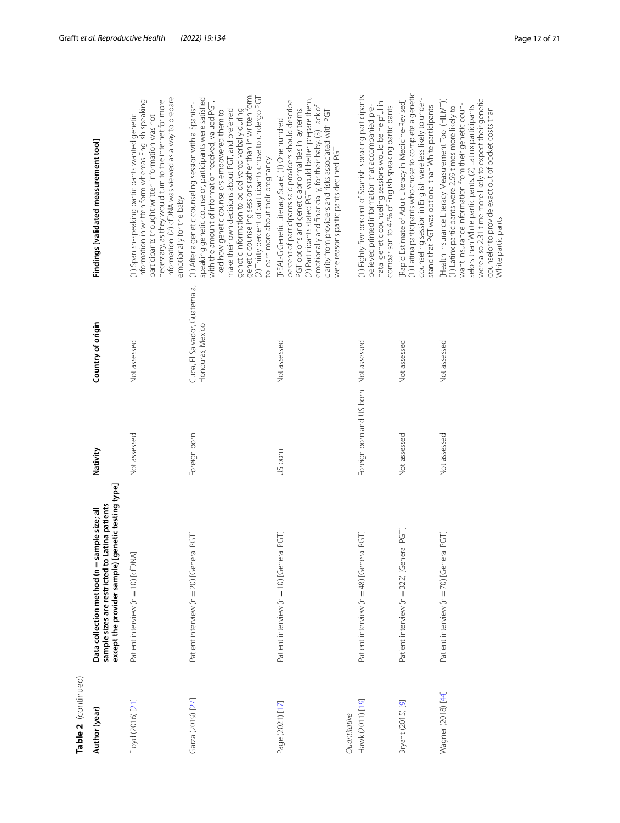| Table 2 (continued) |                                                                                                                                                      |              |                                      |
|---------------------|------------------------------------------------------------------------------------------------------------------------------------------------------|--------------|--------------------------------------|
| Author (year)       | except the provider sample) [genetic testing type]<br>sample sizes are restricted to Latina patients<br>Data collection method (n = sample size; all | Nativity     | Country of origi                     |
| Floyd (2016) [21]   | Patient interview (n = 10) [cfDNA]                                                                                                                   | Not assessed | Not assessed                         |
| Garza (2019) [27]   | Patient interview (n = 20) [General PGT]                                                                                                             | Foreign born | Cuba, El Salvador<br>Honduras, Mexic |

| Author (year)                    | enetic testing type]<br>sample sizes are restricted to Latina patients<br>Data collection method (n = sample size; all<br>except the provider sample) [g | Nativity                 | Country of origin                                 | Findings [validated measurement tool]                                                                                                                                                                                                                                                                                                                                                                                                                                                                 |
|----------------------------------|----------------------------------------------------------------------------------------------------------------------------------------------------------|--------------------------|---------------------------------------------------|-------------------------------------------------------------------------------------------------------------------------------------------------------------------------------------------------------------------------------------------------------------------------------------------------------------------------------------------------------------------------------------------------------------------------------------------------------------------------------------------------------|
| Floyd (2016) [21]                | Patient interview (n = 10) [cfDNA]                                                                                                                       | Not assessed             | Not assessed                                      | information. (2) cfDNA was viewed as a way to prepare<br>necessary, as they would turn to the internet for more<br>information in written form whereas English-speaking<br>(1) Spanish-speaking participants wanted genetic<br>participants thought written information was not<br>emotionally for the baby                                                                                                                                                                                           |
| Garza (2019) [27]                | Patient interview (n = 20) [General PGT]                                                                                                                 | Foreign born             | Cuba, El Salvador, Guatemala,<br>Honduras, Mexico | genetic counseling sessions rather than in written form.<br>(2) Thirty percent of participants chose to undergo PGT<br>speaking genetic counselor, participants were satisfied<br>with the amount of information received, valued PGT,<br>(1) After a genetic counseling session with a Spanish-<br>genetic information to be delivered verbally during<br>make their own decisions about PGT, and preferred<br>liked how genetic counselors empowered them to<br>to learn more about their pregnancy |
| Page (2021) [17]                 | Patient interview (n = 10) [General PGT]                                                                                                                 | US born                  | Not assessed                                      | (2) Participants stated PGT would better prepare them,<br>percent of participants said providers should describe<br>emotionally and financially, for their baby. (3) Lack of<br>PGT options and genetic abnormalities in lay terms.<br>clarity from providers and risks associated with PGT<br><b>REAL-G Genetic Literacy Scale] (1) One hundred</b><br>were reasons participants declined PGT                                                                                                        |
| Hawk (2011) [19]<br>Quantitative | Patient interview (n = 48) [General PGT]                                                                                                                 | Foreign born and US born | Not assessed                                      | (1) Eighty five percent of Spanish-speaking participants<br>natal genetic counseling sessions would be helpful in<br>believed printed information that accompanied pre-<br>comparison to 47% of English-speaking participants                                                                                                                                                                                                                                                                         |
| Bryant (2015) [9]                | Patient interview (n = 322) [General PGT]                                                                                                                | Not assessed             | Not assessed                                      | (1) Latina participants who chose to complete a genetic<br>counseling session in English were less likely to under-<br>[Rapid Estimate of Adult Literacy in Medicine-Revised]<br>stand that PGT was optional than White participants                                                                                                                                                                                                                                                                  |
| Wagner (2018) [44]               | Patient interview (n = 70) [General PGT]                                                                                                                 | Not assessed             | Not assessed                                      | were also 2.31 time more likely to expect their genetic<br>[Health Insurance Literacy Measurement Tool (HILMT)]<br>want insurance information from their genetic coun-<br>selors than White participants. (2) Latinx participants<br>(1) Latinx participants were 2.59 times more likely to<br>counselor to provide exact out of pocket costs than<br>White participants                                                                                                                              |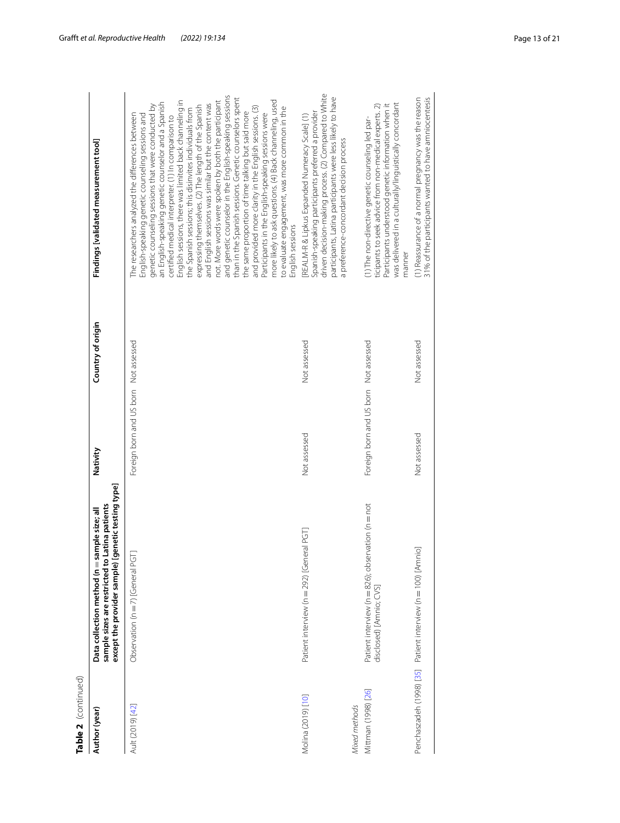| t |
|---|
|   |
| c |
|   |
|   |
| ٦ |
|   |
|   |
|   |

| Table 2 (continued)                  |                                                                                                                                                      |                                       |                   |                                                                                                                                                                                                                                                                                                                                                                                                                                                                                                                                                                                                                                                                                                                                                                                                                                                                                                                                                                                               |
|--------------------------------------|------------------------------------------------------------------------------------------------------------------------------------------------------|---------------------------------------|-------------------|-----------------------------------------------------------------------------------------------------------------------------------------------------------------------------------------------------------------------------------------------------------------------------------------------------------------------------------------------------------------------------------------------------------------------------------------------------------------------------------------------------------------------------------------------------------------------------------------------------------------------------------------------------------------------------------------------------------------------------------------------------------------------------------------------------------------------------------------------------------------------------------------------------------------------------------------------------------------------------------------------|
| Author (year)                        | except the provider sample) [genetic testing type]<br>sample sizes are restricted to Latina patients<br>Data collection method (n = sample size; all | Nativity                              | Country of origin | Findings [validated measurement tool]                                                                                                                                                                                                                                                                                                                                                                                                                                                                                                                                                                                                                                                                                                                                                                                                                                                                                                                                                         |
| Ault (2019) [42]                     | Observation ( $n = 7$ ) [General PGT]                                                                                                                | Foreign born and US born Not assessed |                   | and genetic counselor in the English-speaking sessions<br>than in the Spanish sessions. Genetic counselors spent<br>English sessions, there was limited back channeling in<br>more likely to ask questions. (4) Back channeling, used<br>not. More words were spoken by both the participant<br>an English-speaking genetic counselor and a Spanish<br>and English sessions was similar but the content was<br>genetic counseling sessions that were conducted by<br>expressing themselves. (2) The length of the Spanish<br>and provided more clarity in the English sessions. (3)<br>to evaluate engagement, was more common in the<br>the Spanish sessions; this disinvites individuals from<br>the same proportion of time talking but said more<br>Participants in the English-speaking sessions were<br>The researchers analyzed the differences between<br>English-speaking genetic counseling sessions and<br>certified medical interpreter. (1) In comparison to<br>English sessions |
| Molina (2019) [10]                   | Patient interview (n = 292) [General PGT                                                                                                             | Not assessed                          | Not assessed      | driven decision-making process. (2) Compared to White<br>participants, Latina participants were less likely to have<br>Spanish-speaking participants preferred a provider<br>[REALM-R & Lipkus Expanded Numeracy Scale] (1)<br>a preference-concordant decision process                                                                                                                                                                                                                                                                                                                                                                                                                                                                                                                                                                                                                                                                                                                       |
| Mittman (1998) [26]<br>Mixed methods | Patient interview (n = 826); observation (n = not<br>disclosed) [Amnio; CVS]                                                                         | Foreign born and US born Not assessed |                   | was delivered in a culturally/linguistically concordant<br>Participants understood genetic information when it<br>ticipants to seek advice from non-medical experts. 2)<br>(1) The non-directive genetic counseling led par-<br>manner                                                                                                                                                                                                                                                                                                                                                                                                                                                                                                                                                                                                                                                                                                                                                        |
|                                      | Penchaszadeh (1998) [35] Patient interview (n = 100) [Amnio]                                                                                         | Not assessed                          | Not assessed      | (1) Reassurance of a normal pregnancy was the reason<br>31% of the participants wanted to have amniocentesis                                                                                                                                                                                                                                                                                                                                                                                                                                                                                                                                                                                                                                                                                                                                                                                                                                                                                  |
|                                      |                                                                                                                                                      |                                       |                   |                                                                                                                                                                                                                                                                                                                                                                                                                                                                                                                                                                                                                                                                                                                                                                                                                                                                                                                                                                                               |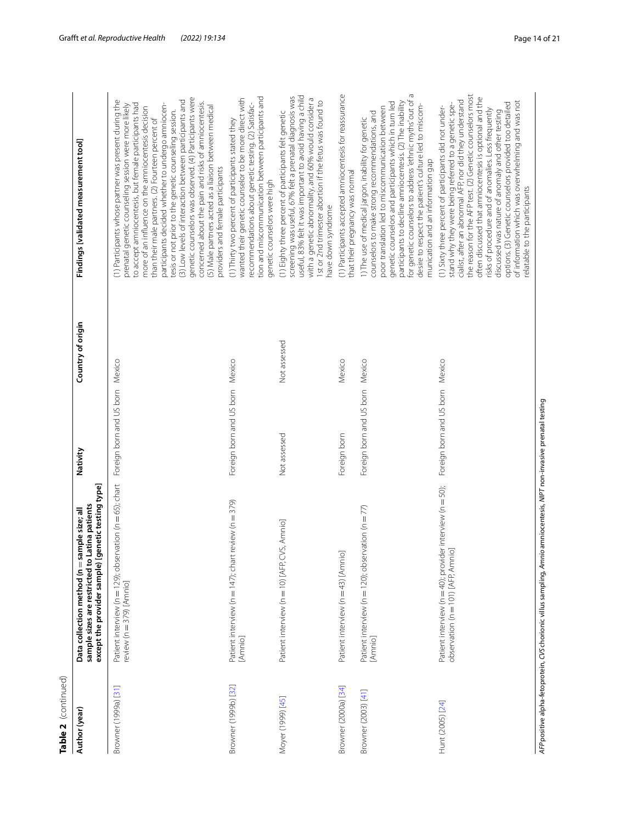| c |
|---|
|   |
| α |
|   |
|   |
|   |
|   |
|   |

| Table 2 (continued)  |                                                                                                                                                                |                                 |                   |                                                                                                                                                                                                                                                                                                                                                                                                                                                                                                                                                                                                                                                                         |
|----------------------|----------------------------------------------------------------------------------------------------------------------------------------------------------------|---------------------------------|-------------------|-------------------------------------------------------------------------------------------------------------------------------------------------------------------------------------------------------------------------------------------------------------------------------------------------------------------------------------------------------------------------------------------------------------------------------------------------------------------------------------------------------------------------------------------------------------------------------------------------------------------------------------------------------------------------|
| Author (year)        | jenetic testing type]<br>Latina patients<br>Data collection method (n = sample size; all<br>sample sizes are restricted to L<br>except the provider sample) [g | Nativity                        | Country of origin | Findings [validated measurement tool]                                                                                                                                                                                                                                                                                                                                                                                                                                                                                                                                                                                                                                   |
| Browner (1999a) [31] | Patient interview (n = 129); observation (n = 65); chart<br>review ( $n = 379$ ) [Amnio]                                                                       | Foreign born and US born Mexico |                   | genetic counselors was observed. (4) Participants were<br>(1) Participants whose partner was present during the<br>(3) Low levels of interaction between participants and<br>concerned about the pain and risks of amniocentesis.<br>to accept amniocentesis, but female participants had<br>participants decided whether to undergo amniocen-<br>prenatal genetic counseling session were more likely<br>(5) Male partners acted as a liaison between medical<br>more of an influence on the amniocentesis decision<br>tesis or not prior to the genetic counseling session.<br>than their male partners. (2) Fourteen percent of<br>providers and female participants |
| Browner (1999b) [32] | review $(n=379)$<br>Patient interview (n = 147); chart<br>[Amnio]                                                                                              | Foreign born and US born Mexico |                   | tion and miscommunication between participants and<br>wanted their genetic counselor to be more direct with<br>recommendations about genetic testing. (2) Satisfac-<br>(1) Thirty two percent of participants stated they<br>genetic counselors were high                                                                                                                                                                                                                                                                                                                                                                                                               |
| Moyer (1999) [45]    | Patient interview (n = 10) [AFP, CVS, Amnio]                                                                                                                   | Not assessed                    | Not assessed      | useful, 83% felt it was important to avoid having a child<br>screening was useful, 67% felt a prenatal diagnosis was<br>with a genetic abnormality, and 60% would consider a<br>1st or 2nd trimester abortion if the fetus was found to<br>(1) Eighty three percent of participants felt genetic<br>have down syndrome                                                                                                                                                                                                                                                                                                                                                  |
| Browner (2000a) [34] | Patient interview (n = 43) [Amnio]                                                                                                                             | Foreign born                    | Mexico            | (1) Participants accepted amniocentesis for reassurance<br>that their pregnancy was normal                                                                                                                                                                                                                                                                                                                                                                                                                                                                                                                                                                              |
| Browner (2003) [41]  | Patient interview ( $n = 120$ ); observation ( $n = 77$ )<br>[Amnio]                                                                                           | Foreign born and US born Mexico |                   | for genetic counselors to address 'ethnic myths' out of a<br>participants to decline amniocentesis. (2) The inability<br>genetic counselors and participants which in turn led<br>desire to respect the patient's culture led to miscom-<br>poor translation led to miscommunication between<br>counselors to make strong recommendations, and<br>1) The use of medical jargon, inability for genetic<br>munication and an information gap                                                                                                                                                                                                                              |
| Hunt (2005) [24]     | Patient interview (n = 40); provider interview (n = 50);<br>observation (n = 101) [AFP, Amnio]                                                                 | Foreign born and US born Mexico |                   | the reason for the AFP test. (2) Genetic counselors most<br>often discussed that amniocentesis is optional and the<br>cialist, after an abnormal AFP, nor did they understand<br>of information which was overwhelming and was not<br>options. (3) Genetic counselors provided too detailed<br>stand why they were being referred to a genetic spe-<br>(1) Sixty three percent of participants did not under-<br>risks of procedure and of anomalies. Less frequently<br>discussed was nature of anomaly and other testing<br>relatable to the participants                                                                                                             |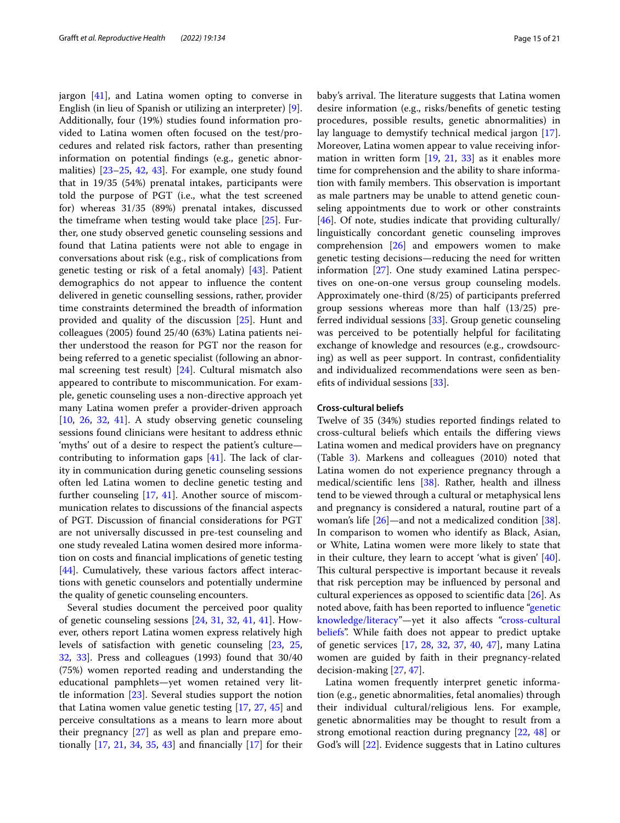jargon  $[41]$  $[41]$ , and Latina women opting to converse in English (in lieu of Spanish or utilizing an interpreter) [\[9](#page-19-8)]. Additionally, four (19%) studies found information provided to Latina women often focused on the test/procedures and related risk factors, rather than presenting information on potential fndings (e.g., genetic abnormalities) [[23–](#page-19-25)[25](#page-19-18), [42](#page-20-15), [43\]](#page-20-18). For example, one study found that in 19/35 (54%) prenatal intakes, participants were told the purpose of PGT (i.e., what the test screened for) whereas 31/35 (89%) prenatal intakes, discussed the timeframe when testing would take place [\[25](#page-19-18)]. Further, one study observed genetic counseling sessions and found that Latina patients were not able to engage in conversations about risk (e.g., risk of complications from genetic testing or risk of a fetal anomaly) [\[43](#page-20-18)]. Patient demographics do not appear to infuence the content delivered in genetic counselling sessions, rather, provider time constraints determined the breadth of information provided and quality of the discussion [[25\]](#page-19-18). Hunt and colleagues (2005) found 25/40 (63%) Latina patients neither understood the reason for PGT nor the reason for being referred to a genetic specialist (following an abnormal screening test result) [\[24](#page-19-24)]. Cultural mismatch also appeared to contribute to miscommunication. For example, genetic counseling uses a non-directive approach yet many Latina women prefer a provider-driven approach [[10,](#page-19-9) [26](#page-20-0), [32](#page-20-10), [41\]](#page-20-14). A study observing genetic counseling sessions found clinicians were hesitant to address ethnic 'myths' out of a desire to respect the patient's culture contributing to information gaps  $[41]$  $[41]$ . The lack of clarity in communication during genetic counseling sessions often led Latina women to decline genetic testing and further counseling [[17,](#page-19-17) [41](#page-20-14)]. Another source of miscommunication relates to discussions of the fnancial aspects of PGT. Discussion of fnancial considerations for PGT are not universally discussed in pre-test counseling and one study revealed Latina women desired more information on costs and fnancial implications of genetic testing [[44\]](#page-20-19). Cumulatively, these various factors affect interactions with genetic counselors and potentially undermine the quality of genetic counseling encounters.

Several studies document the perceived poor quality of genetic counseling sessions [\[24](#page-19-24), [31,](#page-20-5) [32,](#page-20-10) [41](#page-20-14), [41\]](#page-20-14). However, others report Latina women express relatively high levels of satisfaction with genetic counseling [[23,](#page-19-25) [25](#page-19-18), [32,](#page-20-10) [33](#page-20-16)]. Press and colleagues (1993) found that 30/40 (75%) women reported reading and understanding the educational pamphlets—yet women retained very little information [[23](#page-19-25)]. Several studies support the notion that Latina women value genetic testing [\[17,](#page-19-17) [27,](#page-20-1) [45](#page-20-20)] and perceive consultations as a means to learn more about their pregnancy [\[27](#page-20-1)] as well as plan and prepare emotionally [[17,](#page-19-17) [21](#page-19-23), [34,](#page-20-7) [35](#page-20-6), [43\]](#page-20-18) and fnancially [\[17](#page-19-17)] for their baby's arrival. The literature suggests that Latina women desire information (e.g., risks/benefts of genetic testing procedures, possible results, genetic abnormalities) in lay language to demystify technical medical jargon [\[17](#page-19-17)]. Moreover, Latina women appear to value receiving information in written form  $[19, 21, 33]$  $[19, 21, 33]$  $[19, 21, 33]$  $[19, 21, 33]$  $[19, 21, 33]$  $[19, 21, 33]$  as it enables more time for comprehension and the ability to share information with family members. This observation is important as male partners may be unable to attend genetic counseling appointments due to work or other constraints [[46\]](#page-20-17). Of note, studies indicate that providing culturally/ linguistically concordant genetic counseling improves comprehension [\[26](#page-20-0)] and empowers women to make genetic testing decisions—reducing the need for written information [\[27](#page-20-1)]. One study examined Latina perspectives on one-on-one versus group counseling models. Approximately one-third (8/25) of participants preferred group sessions whereas more than half (13/25) preferred individual sessions [[33\]](#page-20-16). Group genetic counseling was perceived to be potentially helpful for facilitating exchange of knowledge and resources (e.g., crowdsourcing) as well as peer support. In contrast, confdentiality and individualized recommendations were seen as benefts of individual sessions [\[33](#page-20-16)].

#### <span id="page-14-0"></span>**Cross‑cultural beliefs**

Twelve of 35 (34%) studies reported fndings related to cross-cultural beliefs which entails the difering views Latina women and medical providers have on pregnancy (Table [3\)](#page-16-0). Markens and colleagues (2010) noted that Latina women do not experience pregnancy through a medical/scientifc lens [\[38\]](#page-20-11). Rather, health and illness tend to be viewed through a cultural or metaphysical lens and pregnancy is considered a natural, routine part of a woman's life [\[26](#page-20-0)]—and not a medicalized condition [\[38](#page-20-11)]. In comparison to women who identify as Black, Asian, or White, Latina women were more likely to state that in their culture, they learn to accept 'what is given' [\[40](#page-20-13)]. This cultural perspective is important because it reveals that risk perception may be infuenced by personal and cultural experiences as opposed to scientifc data [\[26\]](#page-20-0). As noted above, faith has been reported to infuence ["genetic](#page-4-0)  [knowledge/literacy"](#page-4-0)—yet it also afects ["cross-cultural](#page-14-0)  [beliefs"](#page-14-0). While faith does not appear to predict uptake of genetic services [[17,](#page-19-17) [28](#page-20-2), [32](#page-20-10), [37,](#page-20-9) [40,](#page-20-13) [47](#page-20-21)], many Latina women are guided by faith in their pregnancy-related decision-making [\[27](#page-20-1), [47\]](#page-20-21).

Latina women frequently interpret genetic information (e.g., genetic abnormalities, fetal anomalies) through their individual cultural/religious lens. For example, genetic abnormalities may be thought to result from a strong emotional reaction during pregnancy [\[22](#page-19-21), [48\]](#page-20-22) or God's will [[22](#page-19-21)]. Evidence suggests that in Latino cultures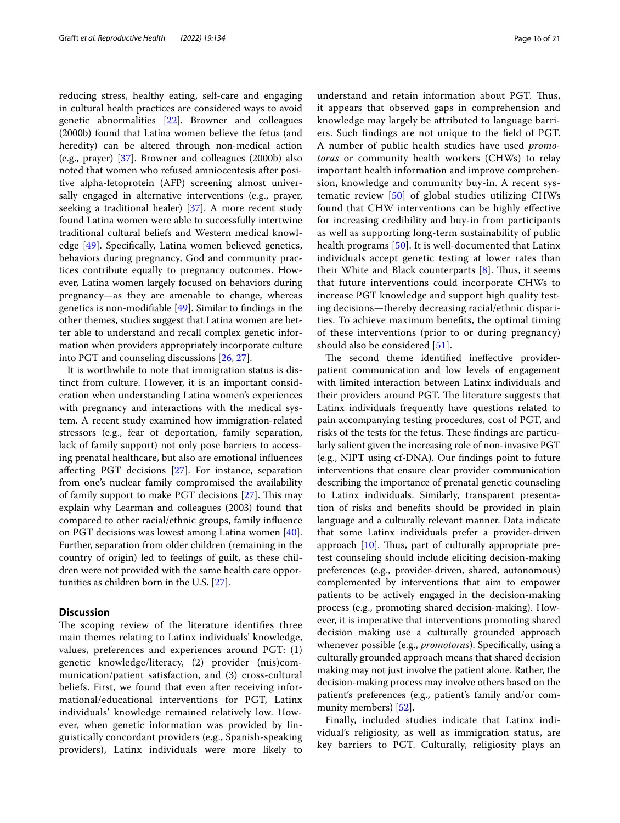reducing stress, healthy eating, self-care and engaging in cultural health practices are considered ways to avoid genetic abnormalities [\[22](#page-19-21)]. Browner and colleagues (2000b) found that Latina women believe the fetus (and heredity) can be altered through non-medical action (e.g., prayer) [[37\]](#page-20-9). Browner and colleagues (2000b) also noted that women who refused amniocentesis after positive alpha-fetoprotein (AFP) screening almost universally engaged in alternative interventions (e.g., prayer, seeking a traditional healer) [[37](#page-20-9)]. A more recent study found Latina women were able to successfully intertwine traditional cultural beliefs and Western medical knowledge [[49\]](#page-20-23). Specifcally, Latina women believed genetics, behaviors during pregnancy, God and community practices contribute equally to pregnancy outcomes. However, Latina women largely focused on behaviors during pregnancy—as they are amenable to change, whereas genetics is non-modifable [[49](#page-20-23)]. Similar to fndings in the other themes, studies suggest that Latina women are better able to understand and recall complex genetic information when providers appropriately incorporate culture into PGT and counseling discussions [[26,](#page-20-0) [27\]](#page-20-1).

It is worthwhile to note that immigration status is distinct from culture. However, it is an important consideration when understanding Latina women's experiences with pregnancy and interactions with the medical system. A recent study examined how immigration-related stressors (e.g., fear of deportation, family separation, lack of family support) not only pose barriers to accessing prenatal healthcare, but also are emotional infuences afecting PGT decisions [[27](#page-20-1)]. For instance, separation from one's nuclear family compromised the availability of family support to make PGT decisions  $[27]$  $[27]$ . This may explain why Learman and colleagues (2003) found that compared to other racial/ethnic groups, family infuence on PGT decisions was lowest among Latina women [\[40](#page-20-13)]. Further, separation from older children (remaining in the country of origin) led to feelings of guilt, as these children were not provided with the same health care opportunities as children born in the U.S. [\[27](#page-20-1)].

#### **Discussion**

The scoping review of the literature identifies three main themes relating to Latinx individuals' knowledge, values, preferences and experiences around PGT: (1) genetic knowledge/literacy, (2) provider (mis)communication/patient satisfaction, and (3) cross-cultural beliefs. First, we found that even after receiving informational/educational interventions for PGT, Latinx individuals' knowledge remained relatively low. However, when genetic information was provided by linguistically concordant providers (e.g., Spanish-speaking providers), Latinx individuals were more likely to

understand and retain information about PGT. Thus, it appears that observed gaps in comprehension and knowledge may largely be attributed to language barriers. Such fndings are not unique to the feld of PGT. A number of public health studies have used *promotoras* or community health workers (CHWs) to relay important health information and improve comprehension, knowledge and community buy-in. A recent systematic review [\[50\]](#page-20-24) of global studies utilizing CHWs found that CHW interventions can be highly efective for increasing credibility and buy-in from participants as well as supporting long-term sustainability of public health programs [[50\]](#page-20-24). It is well-documented that Latinx individuals accept genetic testing at lower rates than their White and Black counterparts  $[8]$  $[8]$ . Thus, it seems that future interventions could incorporate CHWs to increase PGT knowledge and support high quality testing decisions—thereby decreasing racial/ethnic disparities. To achieve maximum benefts, the optimal timing of these interventions (prior to or during pregnancy) should also be considered [[51\]](#page-20-25).

The second theme identified ineffective providerpatient communication and low levels of engagement with limited interaction between Latinx individuals and their providers around PGT. The literature suggests that Latinx individuals frequently have questions related to pain accompanying testing procedures, cost of PGT, and risks of the tests for the fetus. These findings are particularly salient given the increasing role of non-invasive PGT (e.g., NIPT using cf-DNA). Our fndings point to future interventions that ensure clear provider communication describing the importance of prenatal genetic counseling to Latinx individuals. Similarly, transparent presentation of risks and benefts should be provided in plain language and a culturally relevant manner. Data indicate that some Latinx individuals prefer a provider-driven approach  $[10]$  $[10]$ . Thus, part of culturally appropriate pretest counseling should include eliciting decision-making preferences (e.g., provider-driven, shared, autonomous) complemented by interventions that aim to empower patients to be actively engaged in the decision-making process (e.g., promoting shared decision-making). However, it is imperative that interventions promoting shared decision making use a culturally grounded approach whenever possible (e.g., *promotoras*). Specifcally, using a culturally grounded approach means that shared decision making may not just involve the patient alone. Rather, the decision-making process may involve others based on the patient's preferences (e.g., patient's family and/or community members) [\[52](#page-20-26)].

Finally, included studies indicate that Latinx individual's religiosity, as well as immigration status, are key barriers to PGT. Culturally, religiosity plays an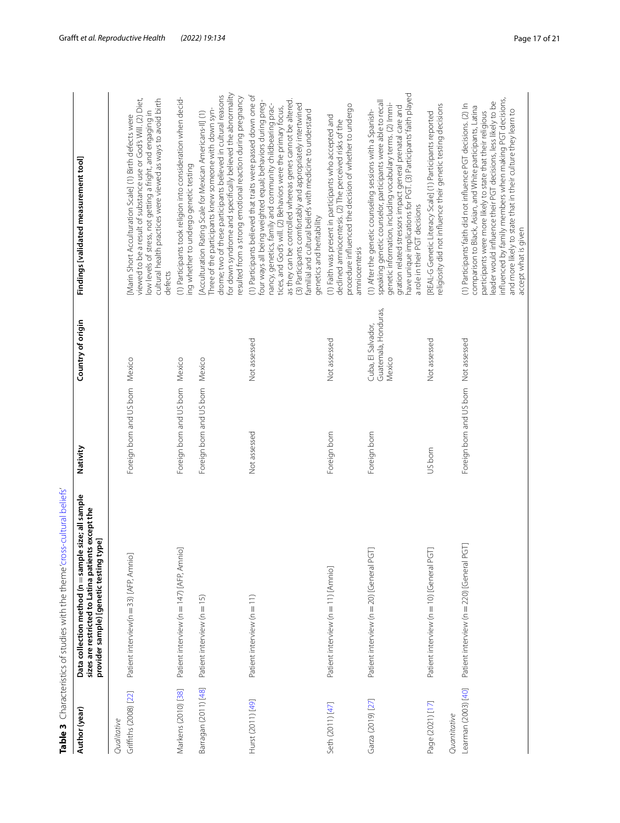<span id="page-16-0"></span>

| Data collection method (n = sample size; all sample<br>Table 3 Characteristics of studies with the theme 'cross-cultural belie<br>Author (year) |
|-------------------------------------------------------------------------------------------------------------------------------------------------|
|-------------------------------------------------------------------------------------------------------------------------------------------------|

| Author (year)                        | Data collection method (n = sample size; all sample<br>sizes are restricted to Latina patients except the<br>type]<br>provider sample) [genetic testing | Nativity                              | Country of origin                                    | Findings [validated measurement tool]                                                                                                                                                                                                                                                                                                                                                                                                                                         |
|--------------------------------------|---------------------------------------------------------------------------------------------------------------------------------------------------------|---------------------------------------|------------------------------------------------------|-------------------------------------------------------------------------------------------------------------------------------------------------------------------------------------------------------------------------------------------------------------------------------------------------------------------------------------------------------------------------------------------------------------------------------------------------------------------------------|
| Griffiths (2008) [22]<br>Qualitative | Patient interview(n = 33) [AFP, Amnio]                                                                                                                  | Foreign born and US born              | Mexico                                               | viewed to be a result of substance use or God's Will. (2) Diet,<br>cultural health practices were viewed as ways to avoid birth<br>low levels of stress, not getting a fright, and engaging in<br>Marin Short Acculturation Scale] (1) Birth defects were<br>defects                                                                                                                                                                                                          |
| Markens (2010) [38]                  | Patient interview (n = 147) [AFP, Amnio]                                                                                                                | Foreign born and US born              | Mexico                                               | (1) Participants took religion into consideration when decid-<br>ing whether to undergo genetic testing                                                                                                                                                                                                                                                                                                                                                                       |
| Barragan (2011) [48]                 | Patient interview (n = 15)                                                                                                                              | Foreign born and US born              | Mexico                                               | for down syndrome and specifically believed the abnormality<br>drome; two of these participants believed in cultural reasons<br>resulted from a strong emotional reaction during pregnancy<br>Three of the participants knew someone with down syn-<br>Acculturation Rating Scale for Mexican Americans-II] (1)                                                                                                                                                               |
| Hurst (2011) [49]                    | Patient interview (n = 11)                                                                                                                              | Not assessed                          | Not assessed                                         | (1) Participants believed that traits were passed down one of<br>as they can be controlled whereas genes cannot be altered.<br>four ways all being weighted equal; behaviors during preg-<br>nancy, genetics, family and community childbearing prac-<br>(3) Participants comfortably and appropriately intertwined<br>tices, and God's will. (2) Behaviors were the primary focus,<br>familial and cultural beliefs with medicine to understand<br>genetics and heritability |
| Seth (2011) [47]                     | Patient interview (n = 11) [Amnio]                                                                                                                      | Foreign born                          | Not assessed                                         | procedure influenced the decision of whether to undergo<br>(1) Faith was present in participants who accepted and<br>declined amniocentesis. (2) The perceived risks of the<br>amniocentesis                                                                                                                                                                                                                                                                                  |
| Garza (2019) [27]                    | Patient interview (n = 20) [General PGT]                                                                                                                | Foreign born                          | Guatemala, Honduras,<br>Cuba, El Salvador,<br>Mexico | have unique implications for PGT. (3) Participants' faith played<br>speaking genetic counselor, participants were able to recall<br>genetic information, including vocabulary terms. (2) Immi-<br>gration related stressors impact general prenatal care and<br>(1) After the genetic counseling sessions with a Spanish-<br>a role in their PGT decisions                                                                                                                    |
| Page (2021) [17]<br>Quantitative     | Patient interview (n = 10) [General PGT]                                                                                                                | US born                               | Not assessed                                         | religiosity did not influence their genetic testing decisions<br>[REAL-G Genetic Literacy Scale] (1) Participants reported                                                                                                                                                                                                                                                                                                                                                    |
| Learman (2003) [40]                  | PGT<br>Patient interview (n = 220) [General                                                                                                             | Foreign born and US born Not assessed |                                                      | influenced by family members when making PGT decisions,<br>leader would influence their PGT decisions, less likely to be<br>(1) Participants' faith did not influence PGT decisions. (2) In<br>comparison to Black, Asian, and White participants, Latina<br>and more likely to state that in their culture they learn to<br>participants were more likely to state that their religious<br>accept what is given                                                              |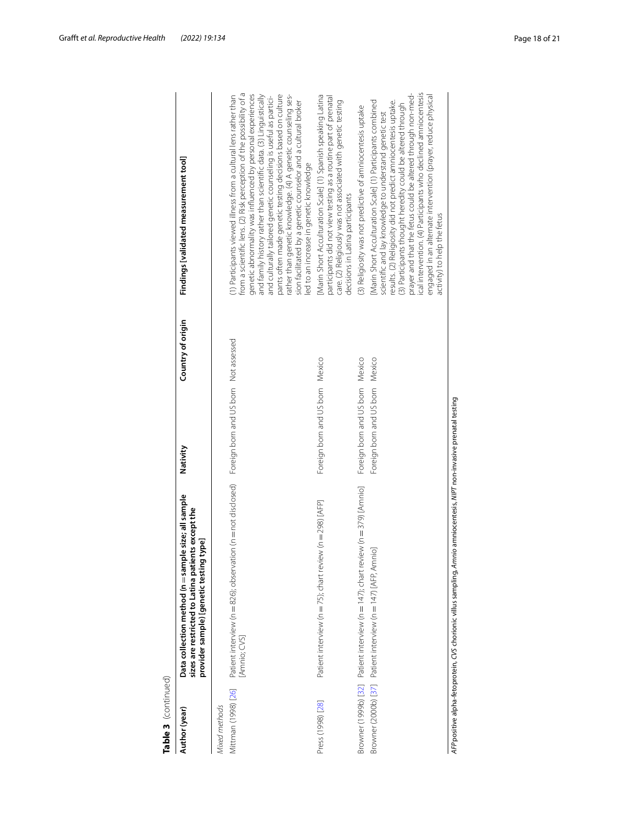| Table 3 (continued)                  |                                                                                                                                                      |                                                                    |                   |                                                                                                                                                                                                                                                                                                                                                                                                                                                                                                                                                                                            |
|--------------------------------------|------------------------------------------------------------------------------------------------------------------------------------------------------|--------------------------------------------------------------------|-------------------|--------------------------------------------------------------------------------------------------------------------------------------------------------------------------------------------------------------------------------------------------------------------------------------------------------------------------------------------------------------------------------------------------------------------------------------------------------------------------------------------------------------------------------------------------------------------------------------------|
| Author (year)                        | Data collection method (n = sample size; all sample<br>sizes are restricted to Latina patients except the<br>provider sample) [genetic testing type] | Nativity                                                           | Country of origin | Findings [validated measurement tool]                                                                                                                                                                                                                                                                                                                                                                                                                                                                                                                                                      |
| Mittman (1998) [26]<br>Mixed methods | Patient interview (n = 826); observation (n = not disclosed)  Foreign born and US born Not assessed<br>[Amnio; CVS]                                  |                                                                    |                   | from a scientific lens. (2) Risk perception of the possibility of a<br>rather than genetic knowledge. (4) A genetic counseling ses-<br>genetic abnormality was influenced by personal experiences<br>and family history rather than scientific data. (3) Linguistically<br>pants often made genetic testing decisions based on culture<br>(1) Participants viewed illness from a cultural lens rather than<br>and culturally tailored genetic counseling is useful as partici-<br>sion facilitated by a genetic counselor and a cultural broker<br>led to an increase in genetic knowledge |
| Press (1998) [28]                    | Patient interview (n = 75); chart review (n = 298) [AFP]                                                                                             | Foreign born and US born Mexico                                    |                   | [Marin Short Acculturation Scale] (1) Spanish speaking Latina<br>participants did not view testing as a routine part of prenatal<br>care. (2) Religiously was not associated with genetic testing<br>decisions in Latina participants                                                                                                                                                                                                                                                                                                                                                      |
|                                      | Browner (1999b) [32] Patient interview (n = 147); chart review (n = 379) [Amnio]<br>Browner (2000b) [37] Patient interview (n = 147) [AFP, Amnio]    | Foreign born and US born Mexico<br>Foreign born and US born Mexico |                   | ical intervention. (4) Participants who declined amniocentesis<br>prayer and that the fetus could be altered through non-med-<br>engaged in an alternate intervention (prayer, reduce physical<br>results. (2) Religiosity did not predict amniocentesis uptake.<br>[Marin Short Acculturation Scale] (1) Participants combined<br>(3) Participants thought heredity could be altered through<br>(3) Religiosity was not predictive of amniocentesis uptake<br>scientific and lay knowledge to understand genetic test<br>activity) to help the fetus                                      |
|                                      | AFP positive al pha-fetoprotein, CVS chorionic villus sampling, Amnio amniocentesis, NIPT non-invasive prenatal testing                              |                                                                    |                   |                                                                                                                                                                                                                                                                                                                                                                                                                                                                                                                                                                                            |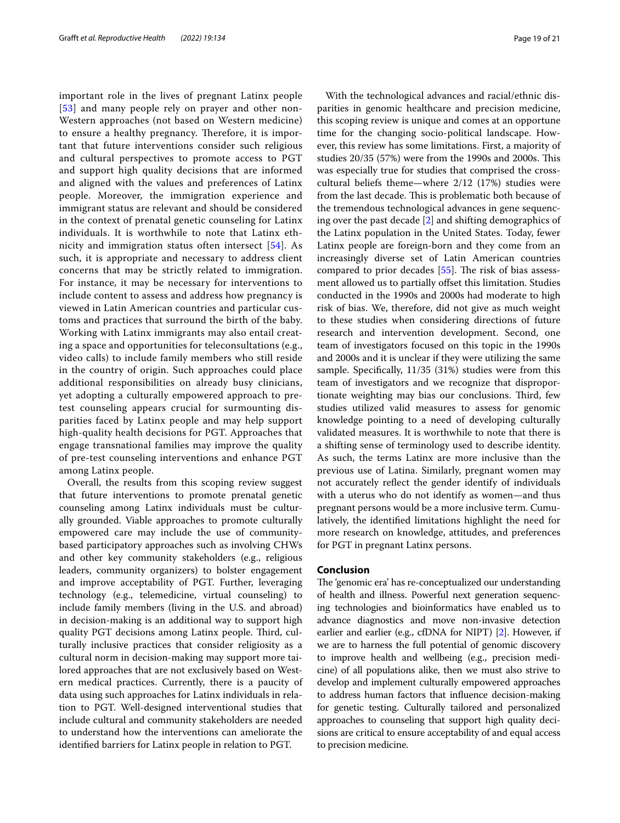important role in the lives of pregnant Latinx people [[53](#page-20-27)] and many people rely on prayer and other non-Western approaches (not based on Western medicine) to ensure a healthy pregnancy. Therefore, it is important that future interventions consider such religious and cultural perspectives to promote access to PGT and support high quality decisions that are informed and aligned with the values and preferences of Latinx people. Moreover, the immigration experience and immigrant status are relevant and should be considered in the context of prenatal genetic counseling for Latinx individuals. It is worthwhile to note that Latinx ethnicity and immigration status often intersect [[54\]](#page-20-28). As such, it is appropriate and necessary to address client concerns that may be strictly related to immigration. For instance, it may be necessary for interventions to include content to assess and address how pregnancy is viewed in Latin American countries and particular customs and practices that surround the birth of the baby. Working with Latinx immigrants may also entail creating a space and opportunities for teleconsultations (e.g., video calls) to include family members who still reside in the country of origin. Such approaches could place additional responsibilities on already busy clinicians, yet adopting a culturally empowered approach to pretest counseling appears crucial for surmounting disparities faced by Latinx people and may help support high-quality health decisions for PGT. Approaches that engage transnational families may improve the quality of pre-test counseling interventions and enhance PGT among Latinx people.

Overall, the results from this scoping review suggest that future interventions to promote prenatal genetic counseling among Latinx individuals must be culturally grounded. Viable approaches to promote culturally empowered care may include the use of communitybased participatory approaches such as involving CHWs and other key community stakeholders (e.g., religious leaders, community organizers) to bolster engagement and improve acceptability of PGT. Further, leveraging technology (e.g., telemedicine, virtual counseling) to include family members (living in the U.S. and abroad) in decision-making is an additional way to support high quality PGT decisions among Latinx people. Third, culturally inclusive practices that consider religiosity as a cultural norm in decision-making may support more tailored approaches that are not exclusively based on Western medical practices. Currently, there is a paucity of data using such approaches for Latinx individuals in relation to PGT. Well-designed interventional studies that include cultural and community stakeholders are needed to understand how the interventions can ameliorate the identifed barriers for Latinx people in relation to PGT.

With the technological advances and racial/ethnic disparities in genomic healthcare and precision medicine, this scoping review is unique and comes at an opportune time for the changing socio-political landscape. However, this review has some limitations. First, a majority of studies 20/35 (57%) were from the 1990s and 2000s. This was especially true for studies that comprised the crosscultural beliefs theme—where 2/12 (17%) studies were from the last decade. This is problematic both because of the tremendous technological advances in gene sequencing over the past decade [\[2\]](#page-19-1) and shifting demographics of the Latinx population in the United States. Today, fewer Latinx people are foreign-born and they come from an increasingly diverse set of Latin American countries compared to prior decades  $[55]$  $[55]$ . The risk of bias assessment allowed us to partially offset this limitation. Studies conducted in the 1990s and 2000s had moderate to high risk of bias. We, therefore, did not give as much weight to these studies when considering directions of future research and intervention development. Second, one team of investigators focused on this topic in the 1990s and 2000s and it is unclear if they were utilizing the same sample. Specifcally, 11/35 (31%) studies were from this team of investigators and we recognize that disproportionate weighting may bias our conclusions. Third, few studies utilized valid measures to assess for genomic knowledge pointing to a need of developing culturally validated measures. It is worthwhile to note that there is a shifting sense of terminology used to describe identity. As such, the terms Latinx are more inclusive than the previous use of Latina. Similarly, pregnant women may not accurately refect the gender identify of individuals with a uterus who do not identify as women—and thus pregnant persons would be a more inclusive term. Cumulatively, the identifed limitations highlight the need for more research on knowledge, attitudes, and preferences for PGT in pregnant Latinx persons.

#### **Conclusion**

The 'genomic era' has re-conceptualized our understanding of health and illness. Powerful next generation sequencing technologies and bioinformatics have enabled us to advance diagnostics and move non-invasive detection earlier and earlier (e.g., cfDNA for NIPT) [\[2](#page-19-1)]. However, if we are to harness the full potential of genomic discovery to improve health and wellbeing (e.g., precision medicine) of all populations alike, then we must also strive to develop and implement culturally empowered approaches to address human factors that infuence decision-making for genetic testing. Culturally tailored and personalized approaches to counseling that support high quality decisions are critical to ensure acceptability of and equal access to precision medicine.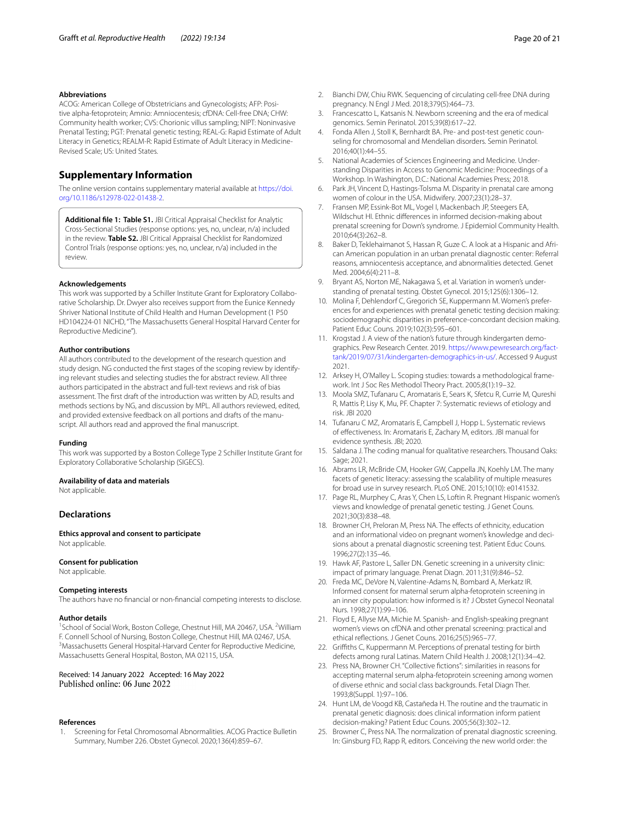#### **Abbreviations**

ACOG: American College of Obstetricians and Gynecologists; AFP: Positive alpha-fetoprotein; Amnio: Amniocentesis; cfDNA: Cell-free DNA; CHW: Community health worker; CVS: Chorionic villus sampling; NIPT: Noninvasive Prenatal Testing; PGT: Prenatal genetic testing; REAL-G: Rapid Estimate of Adult Literacy in Genetics; REALM-R: Rapid Estimate of Adult Literacy in Medicine-Revised Scale; US: United States.

#### **Supplementary Information**

The online version contains supplementary material available at [https://doi.](https://doi.org/10.1186/s12978-022-01438-2) [org/10.1186/s12978-022-01438-2](https://doi.org/10.1186/s12978-022-01438-2).

<span id="page-19-14"></span>**Additional fle 1: Table S1.** JBI Critical Appraisal Checklist for Analytic Cross-Sectional Studies (response options: yes, no, unclear, n/a) included in the review. **Table S2.** JBI Critical Appraisal Checklist for Randomized Control Trials (response options: yes, no, unclear, n/a) included in the review.

#### **Acknowledgements**

This work was supported by a Schiller Institute Grant for Exploratory Collaborative Scholarship. Dr. Dwyer also receives support from the Eunice Kennedy Shriver National Institute of Child Health and Human Development (1 P50 HD104224-01 NICHD, "The Massachusetts General Hospital Harvard Center for Reproductive Medicine").

#### **Author contributions**

All authors contributed to the development of the research question and study design. NG conducted the first stages of the scoping review by identifying relevant studies and selecting studies the for abstract review. All three authors participated in the abstract and full-text reviews and risk of bias assessment. The frst draft of the introduction was written by AD, results and methods sections by NG, and discussion by MPL. All authors reviewed, edited, and provided extensive feedback on all portions and drafts of the manuscript. All authors read and approved the fnal manuscript.

#### **Funding**

This work was supported by a Boston College Type 2 Schiller Institute Grant for Exploratory Collaborative Scholarship (SIGECS).

#### **Availability of data and materials**

Not applicable.

#### **Declarations**

**Ethics approval and consent to participate** Not applicable.

#### **Consent for publication**

Not applicable.

#### **Competing interests**

The authors have no fnancial or non-fnancial competing interests to disclose.

#### **Author details**

<sup>1</sup> School of Social Work, Boston College, Chestnut Hill, MA 20467, USA. <sup>2</sup> William F. Connell School of Nursing, Boston College, Chestnut Hill, MA 02467, USA. 3 <sup>3</sup> Massachusetts General Hospital-Harvard Center for Reproductive Medicine, Massachusetts General Hospital, Boston, MA 02115, USA.

## Received: 14 January 2022 Accepted: 16 May 2022<br>Published online: 06 June 2022

#### **References**

<span id="page-19-0"></span>1. Screening for Fetal Chromosomal Abnormalities. ACOG Practice Bulletin Summary, Number 226. Obstet Gynecol. 2020;136(4):859–67.

- <span id="page-19-1"></span>2. Bianchi DW, Chiu RWK. Sequencing of circulating cell-free DNA during pregnancy. N Engl J Med. 2018;379(5):464–73.
- <span id="page-19-2"></span>3. Francescatto L, Katsanis N. Newborn screening and the era of medical genomics. Semin Perinatol. 2015;39(8):617–22.
- <span id="page-19-3"></span>4. Fonda Allen J, Stoll K, Bernhardt BA. Pre- and post-test genetic counseling for chromosomal and Mendelian disorders. Semin Perinatol. 2016;40(1):44–55.
- <span id="page-19-4"></span>5. National Academies of Sciences Engineering and Medicine. Understanding Disparities in Access to Genomic Medicine: Proceedings of a Workshop. In Washington, D.C.: National Academies Press; 2018.
- <span id="page-19-5"></span>6. Park JH, Vincent D, Hastings-Tolsma M. Disparity in prenatal care among women of colour in the USA. Midwifery. 2007;23(1):28–37.
- <span id="page-19-6"></span>7. Fransen MP, Essink-Bot ML, Vogel I, Mackenbach JP, Steegers EA, Wildschut HI. Ethnic diferences in informed decision-making about prenatal screening for Down's syndrome. J Epidemiol Community Health. 2010;64(3):262–8.
- <span id="page-19-7"></span>8. Baker D, Teklehaimanot S, Hassan R, Guze C. A look at a Hispanic and African American population in an urban prenatal diagnostic center: Referral reasons, amniocentesis acceptance, and abnormalities detected. Genet Med. 2004;6(4):211–8.
- <span id="page-19-8"></span>9. Bryant AS, Norton ME, Nakagawa S, et al. Variation in women's understanding of prenatal testing. Obstet Gynecol. 2015;125(6):1306–12.
- <span id="page-19-9"></span>10. Molina F, Dehlendorf C, Gregorich SE, Kuppermann M. Women's preferences for and experiences with prenatal genetic testing decision making: sociodemographic disparities in preference-concordant decision making. Patient Educ Couns. 2019;102(3):595–601.
- <span id="page-19-10"></span>11. Krogstad J. A view of the nation's future through kindergarten demographics. Pew Research Center. 2019. [https://www.pewresearch.org/fact](https://www.pewresearch.org/fact-tank/2019/07/31/kindergarten-demographics-in-us/) [tank/2019/07/31/kindergarten-demographics-in-us/](https://www.pewresearch.org/fact-tank/2019/07/31/kindergarten-demographics-in-us/). Accessed 9 August 2021.
- <span id="page-19-11"></span>12. Arksey H, O'Malley L. Scoping studies: towards a methodological framework. Int J Soc Res Methodol Theory Pract. 2005;8(1):19–32.
- <span id="page-19-12"></span>13. Moola SMZ, Tufanaru C, Aromataris E, Sears K, Sfetcu R, Currie M, Qureshi R, Mattis P, Lisy K, Mu, PF. Chapter 7: Systematic reviews of etiology and risk. JBI 2020
- <span id="page-19-13"></span>14. Tufanaru C MZ, Aromataris E, Campbell J, Hopp L. Systematic reviews of efectiveness. In: Aromataris E, Zachary M, editors. JBI manual for evidence synthesis. JBI; 2020.
- <span id="page-19-15"></span>15. Saldana J. The coding manual for qualitative researchers. Thousand Oaks: Sage; 2021.
- <span id="page-19-16"></span>16. Abrams LR, McBride CM, Hooker GW, Cappella JN, Koehly LM. The many facets of genetic literacy: assessing the scalability of multiple measures for broad use in survey research. PLoS ONE. 2015;10(10): e0141532.
- <span id="page-19-17"></span>17. Page RL, Murphey C, Aras Y, Chen LS, Loftin R. Pregnant Hispanic women's views and knowledge of prenatal genetic testing. J Genet Couns. 2021;30(3):838–48.
- <span id="page-19-19"></span>18. Browner CH, Preloran M, Press NA. The effects of ethnicity, education and an informational video on pregnant women's knowledge and decisions about a prenatal diagnostic screening test. Patient Educ Couns. 1996;27(2):135–46.
- <span id="page-19-20"></span>19. Hawk AF, Pastore L, Saller DN. Genetic screening in a university clinic: impact of primary language. Prenat Diagn. 2011;31(9):846–52.
- <span id="page-19-22"></span>20. Freda MC, DeVore N, Valentine-Adams N, Bombard A, Merkatz IR. Informed consent for maternal serum alpha-fetoprotein screening in an inner city population: how informed is it? J Obstet Gynecol Neonatal Nurs. 1998;27(1):99–106.
- <span id="page-19-23"></span>21. Floyd E, Allyse MA, Michie M. Spanish- and English-speaking pregnant women's views on cfDNA and other prenatal screening: practical and ethical refections. J Genet Couns. 2016;25(5):965–77.
- <span id="page-19-21"></span>22. Grifths C, Kuppermann M. Perceptions of prenatal testing for birth defects among rural Latinas. Matern Child Health J. 2008;12(1):34–42.
- <span id="page-19-25"></span>23. Press NA, Browner CH. "Collective fctions": similarities in reasons for accepting maternal serum alpha-fetoprotein screening among women of diverse ethnic and social class backgrounds. Fetal Diagn Ther. 1993;8(Suppl. 1):97–106.
- <span id="page-19-24"></span>24. Hunt LM, de Voogd KB, Castañeda H. The routine and the traumatic in prenatal genetic diagnosis: does clinical information inform patient decision-making? Patient Educ Couns. 2005;56(3):302–12.
- <span id="page-19-18"></span>25. Browner C, Press NA. The normalization of prenatal diagnostic screening. In: Ginsburg FD, Rapp R, editors. Conceiving the new world order: the